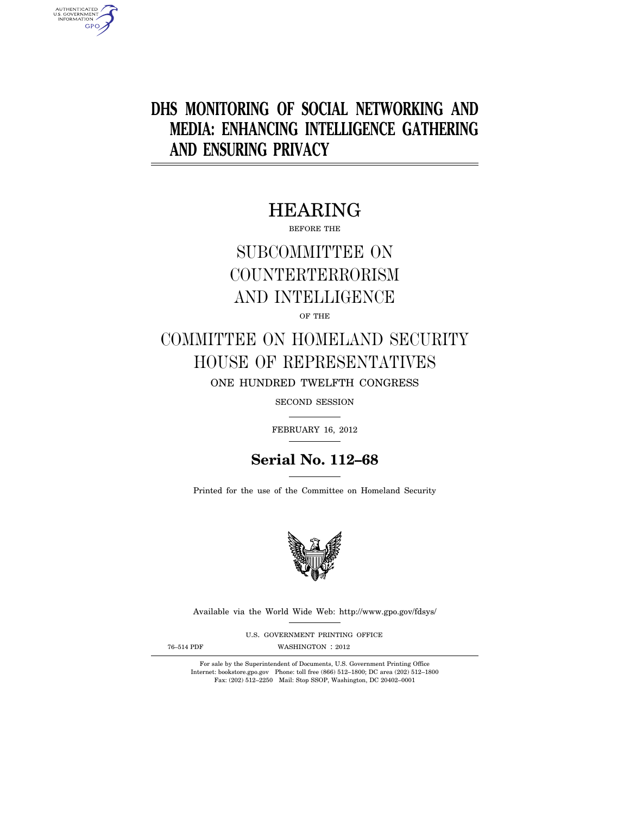# **DHS MONITORING OF SOCIAL NETWORKING AND MEDIA: ENHANCING INTELLIGENCE GATHERING AND ENSURING PRIVACY**

# HEARING

BEFORE THE

# SUBCOMMITTEE ON COUNTERTERRORISM AND INTELLIGENCE

OF THE

COMMITTEE ON HOMELAND SECURITY HOUSE OF REPRESENTATIVES

ONE HUNDRED TWELFTH CONGRESS

SECOND SESSION

FEBRUARY 16, 2012

## **Serial No. 112–68**

Printed for the use of the Committee on Homeland Security



Available via the World Wide Web: http://www.gpo.gov/fdsys/

U.S. GOVERNMENT PRINTING OFFICE

AUTHENTICATED<br>U.S. GOVERNMENT<br>INFORMATION **GPO** 

76-514 PDF WASHINGTON : 2012

For sale by the Superintendent of Documents, U.S. Government Printing Office Internet: bookstore.gpo.gov Phone: toll free (866) 512–1800; DC area (202) 512–1800 Fax: (202) 512–2250 Mail: Stop SSOP, Washington, DC 20402–0001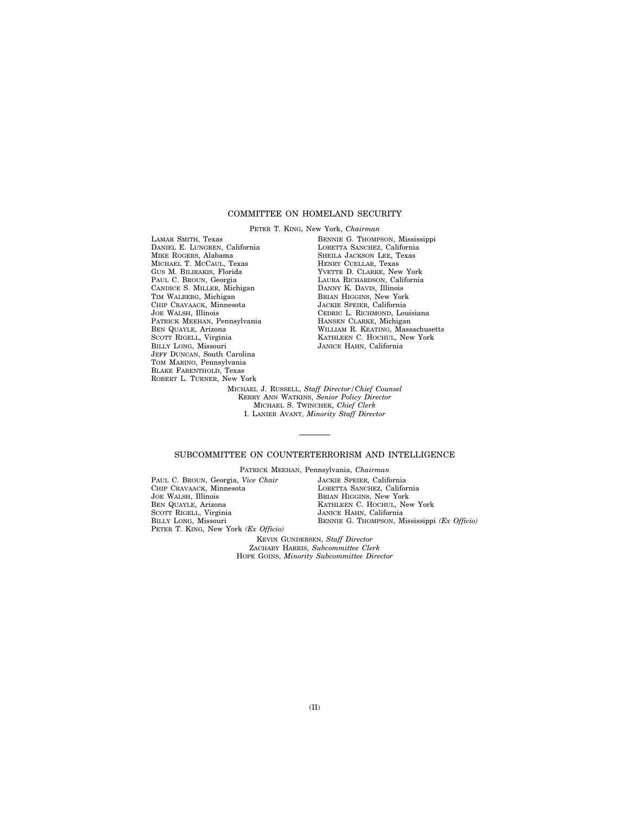#### COMMITTEE ON HOMELAND SECURITY

PETER T. KING, New York, *Chairman*  LAMAR SMITH, Texas DANIEL E. LUNGREN, California MIKE ROGERS, Alabama MICHAEL T. MCCAUL, Texas GUS M. BILIRAKIS, Florida PAUL C. BROUN, Georgia CANDICE S. MILLER, Michigan TIM WALBERG, Michigan CHIP CRAVAACK, Minnesota JOE WALSH, Illinois PATRICK MEEHAN, Pennsylvania BEN QUAYLE, Arizona SCOTT RIGELL, Virginia BILLY LONG, Missouri JEFF DUNCAN, South Carolina TOM MARINO, Pennsylvania BLAKE FARENTHOLD, Texas ROBERT L. TURNER, New York

BENNIE G. THOMPSON, Mississippi LORETTA SANCHEZ, California SHEILA JACKSON LEE, Texas HENRY CUELLAR, Texas YVETTE D. CLARKE, New York LAURA RICHARDSON, California DANNY K. DAVIS, Illinois BRIAN HIGGINS, New York JACKIE SPEIER, California CEDRIC L. RICHMOND, Louisiana HANSEN CLARKE, Michigan WILLIAM R. KEATING, Massachusetts KATHLEEN C. HOCHUL, New York JANICE HAHN, California

MICHAEL J. RUSSELL, *Staff Director/Chief Counsel*  KERRY ANN WATKINS, *Senior Policy Director*  MICHAEL S. TWINCHEK, *Chief Clerk*  I. LANIER AVANT, *Minority Staff Director* 

### SUBCOMMITTEE ON COUNTERTERRORISM AND INTELLIGENCE

PATRICK MEEHAN, Pennsylvania, *Chairman* 

PAUL C. BROUN, Georgia, *Vice Chair*  CHIP CRAVAACK, Minnesota JOE WALSH, Illinois BEN QUAYLE, Arizona SCOTT RIGELL, Virginia BILLY LONG, Missouri PETER T. KING, New York *(Ex Officio)*  JACKIE SPEIER, California LORETTA SANCHEZ, California BRIAN HIGGINS, New York KATHLEEN C. HOCHUL, New York JANICE HAHN, California BENNIE G. THOMPSON, Mississippi *(Ex Officio)* 

KEVIN GUNDERSEN, *Staff Director*  ZACHARY HARRIS, *Subcommittee Clerk*  HOPE GOINS, *Minority Subcommittee Director*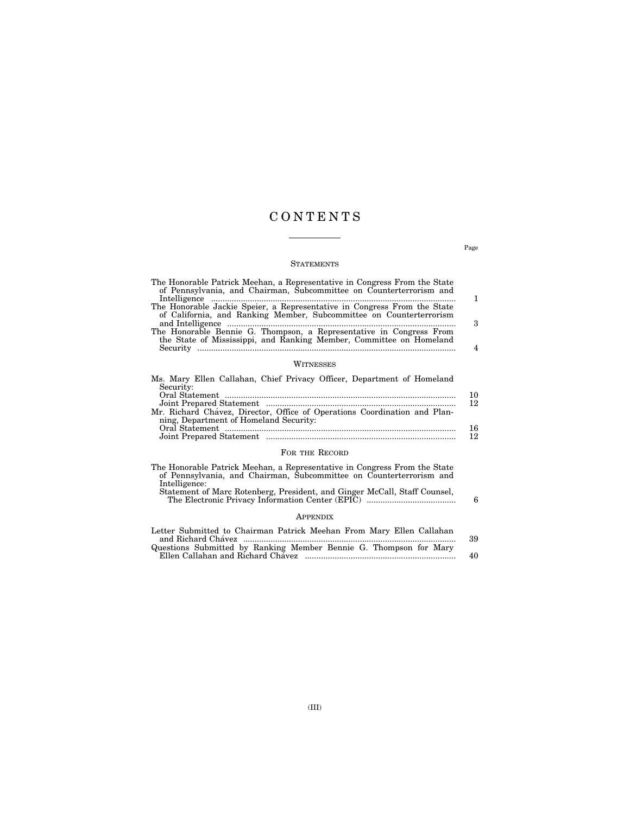## C O N T E N T S

#### STATEMENTS

| The Honorable Patrick Meehan, a Representative in Congress From the State<br>of Pennsylvania, and Chairman, Subcommittee on Counterterrorism and<br>The Honorable Jackie Speier, a Representative in Congress From the State<br>of California, and Ranking Member, Subcommittee on Counterterrorism<br>The Honorable Bennie G. Thompson, a Representative in Congress From<br>the State of Mississippi, and Ranking Member, Committee on Homeland | 3<br>4   |
|---------------------------------------------------------------------------------------------------------------------------------------------------------------------------------------------------------------------------------------------------------------------------------------------------------------------------------------------------------------------------------------------------------------------------------------------------|----------|
|                                                                                                                                                                                                                                                                                                                                                                                                                                                   |          |
| WITNESSES                                                                                                                                                                                                                                                                                                                                                                                                                                         |          |
| Ms. Mary Ellen Callahan, Chief Privacy Officer, Department of Homeland<br>Security:                                                                                                                                                                                                                                                                                                                                                               | 10<br>12 |
| Mr. Richard Chávez, Director, Office of Operations Coordination and Plan-                                                                                                                                                                                                                                                                                                                                                                         |          |

| Mr. Richard Chavez, Director, Office of Operations Coordination and Plan- |    |
|---------------------------------------------------------------------------|----|
| ning, Department of Homeland Security:                                    |    |
|                                                                           | 16 |
|                                                                           | 12 |
|                                                                           |    |

### FOR THE RECORD

| The Honorable Patrick Meehan, a Representative in Congress From the State<br>of Pennsylvania, and Chairman, Subcommittee on Counterterrorism and |   |
|--------------------------------------------------------------------------------------------------------------------------------------------------|---|
| Intelligence:<br>Statement of Marc Rotenberg, President, and Ginger McCall, Staff Counsel,                                                       | 6 |
| <b>APPENDIX</b>                                                                                                                                  |   |

| Letter Submitted to Chairman Patrick Meehan From Mary Ellen Callahan |     |
|----------------------------------------------------------------------|-----|
|                                                                      | -39 |
| Questions Submitted by Ranking Member Bennie G. Thompson for Mary    |     |
|                                                                      | 40. |

Page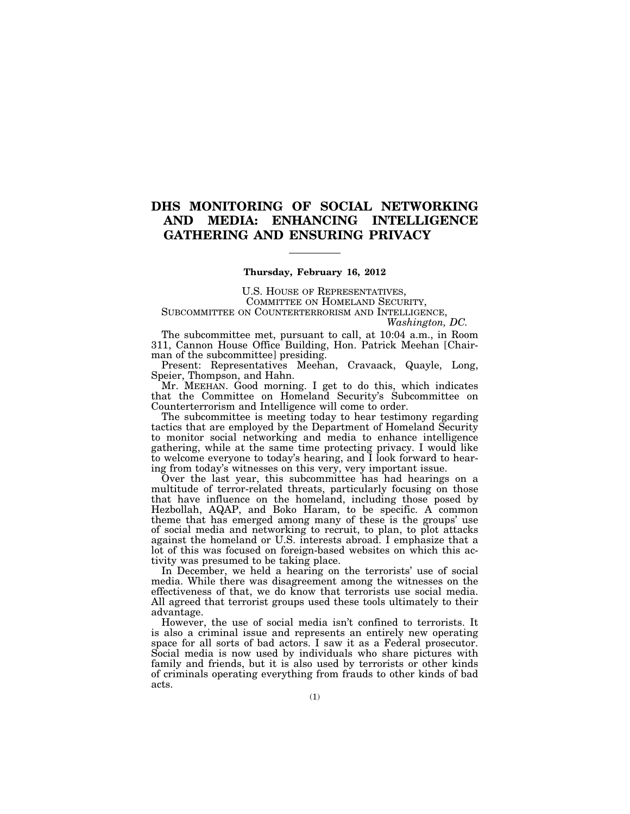## **DHS MONITORING OF SOCIAL NETWORKING AND MEDIA: ENHANCING INTELLIGENCE GATHERING AND ENSURING PRIVACY**

#### **Thursday, February 16, 2012**

U.S. HOUSE OF REPRESENTATIVES, COMMITTEE ON HOMELAND SECURITY, SUBCOMMITTEE ON COUNTERTERRORISM AND INTELLIGENCE,

*Washington, DC.* 

The subcommittee met, pursuant to call, at 10:04 a.m., in Room 311, Cannon House Office Building, Hon. Patrick Meehan [Chairman of the subcommittee] presiding.

Present: Representatives Meehan, Cravaack, Quayle, Long, Speier, Thompson, and Hahn.

Mr. MEEHAN. Good morning. I get to do this, which indicates that the Committee on Homeland Security's Subcommittee on Counterterrorism and Intelligence will come to order.

The subcommittee is meeting today to hear testimony regarding tactics that are employed by the Department of Homeland Security to monitor social networking and media to enhance intelligence gathering, while at the same time protecting privacy. I would like to welcome everyone to today's hearing, and I look forward to hearing from today's witnesses on this very, very important issue.

Over the last year, this subcommittee has had hearings on a multitude of terror-related threats, particularly focusing on those that have influence on the homeland, including those posed by Hezbollah, AQAP, and Boko Haram, to be specific. A common theme that has emerged among many of these is the groups' use of social media and networking to recruit, to plan, to plot attacks against the homeland or U.S. interests abroad. I emphasize that a lot of this was focused on foreign-based websites on which this activity was presumed to be taking place.

In December, we held a hearing on the terrorists' use of social media. While there was disagreement among the witnesses on the effectiveness of that, we do know that terrorists use social media. All agreed that terrorist groups used these tools ultimately to their advantage.

However, the use of social media isn't confined to terrorists. It is also a criminal issue and represents an entirely new operating space for all sorts of bad actors. I saw it as a Federal prosecutor. Social media is now used by individuals who share pictures with family and friends, but it is also used by terrorists or other kinds of criminals operating everything from frauds to other kinds of bad acts.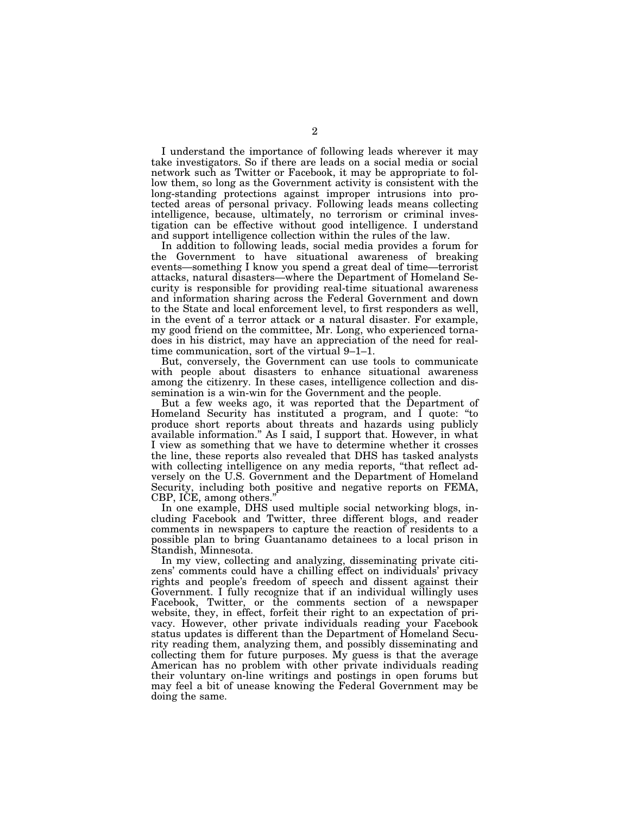I understand the importance of following leads wherever it may take investigators. So if there are leads on a social media or social network such as Twitter or Facebook, it may be appropriate to follow them, so long as the Government activity is consistent with the long-standing protections against improper intrusions into protected areas of personal privacy. Following leads means collecting intelligence, because, ultimately, no terrorism or criminal investigation can be effective without good intelligence. I understand and support intelligence collection within the rules of the law.

In addition to following leads, social media provides a forum for the Government to have situational awareness of breaking events—something I know you spend a great deal of time—terrorist attacks, natural disasters—where the Department of Homeland Security is responsible for providing real-time situational awareness and information sharing across the Federal Government and down to the State and local enforcement level, to first responders as well, in the event of a terror attack or a natural disaster. For example, my good friend on the committee, Mr. Long, who experienced tornadoes in his district, may have an appreciation of the need for realtime communication, sort of the virtual 9–1–1.

But, conversely, the Government can use tools to communicate with people about disasters to enhance situational awareness among the citizenry. In these cases, intelligence collection and dissemination is a win-win for the Government and the people.

But a few weeks ago, it was reported that the Department of Homeland Security has instituted a program, and I quote: ''to produce short reports about threats and hazards using publicly available information.'' As I said, I support that. However, in what I view as something that we have to determine whether it crosses the line, these reports also revealed that DHS has tasked analysts with collecting intelligence on any media reports, "that reflect adversely on the U.S. Government and the Department of Homeland Security, including both positive and negative reports on FEMA, CBP, ICE, among others.''

In one example, DHS used multiple social networking blogs, including Facebook and Twitter, three different blogs, and reader comments in newspapers to capture the reaction of residents to a possible plan to bring Guantanamo detainees to a local prison in Standish, Minnesota.

In my view, collecting and analyzing, disseminating private citizens' comments could have a chilling effect on individuals' privacy rights and people's freedom of speech and dissent against their Government. I fully recognize that if an individual willingly uses Facebook, Twitter, or the comments section of a newspaper website, they, in effect, forfeit their right to an expectation of privacy. However, other private individuals reading your Facebook status updates is different than the Department of Homeland Security reading them, analyzing them, and possibly disseminating and collecting them for future purposes. My guess is that the average American has no problem with other private individuals reading their voluntary on-line writings and postings in open forums but may feel a bit of unease knowing the Federal Government may be doing the same.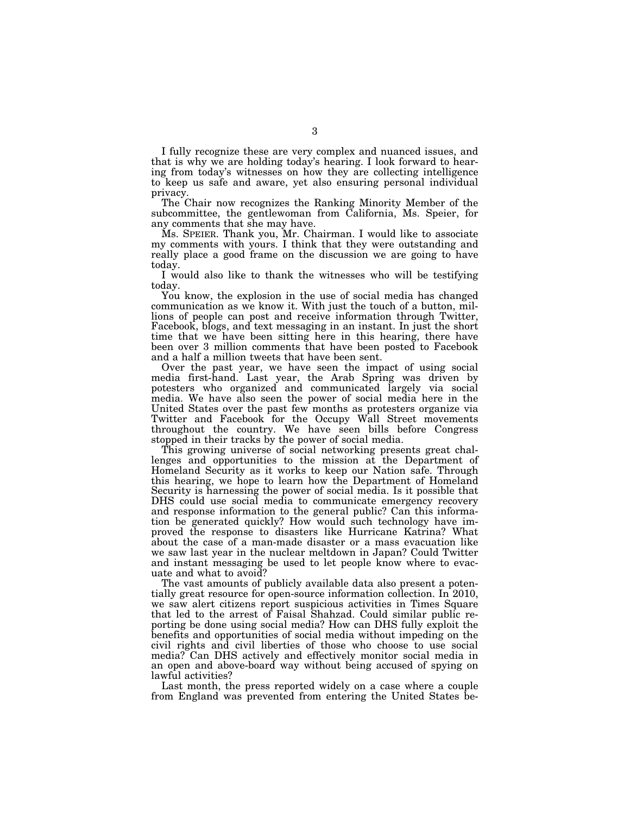I fully recognize these are very complex and nuanced issues, and that is why we are holding today's hearing. I look forward to hearing from today's witnesses on how they are collecting intelligence to keep us safe and aware, yet also ensuring personal individual privacy.

The Chair now recognizes the Ranking Minority Member of the subcommittee, the gentlewoman from California, Ms. Speier, for any comments that she may have.

Ms. SPEIER. Thank you, Mr. Chairman. I would like to associate my comments with yours. I think that they were outstanding and really place a good frame on the discussion we are going to have today.

I would also like to thank the witnesses who will be testifying today.

You know, the explosion in the use of social media has changed communication as we know it. With just the touch of a button, millions of people can post and receive information through Twitter, Facebook, blogs, and text messaging in an instant. In just the short time that we have been sitting here in this hearing, there have been over 3 million comments that have been posted to Facebook and a half a million tweets that have been sent.

Over the past year, we have seen the impact of using social media first-hand. Last year, the Arab Spring was driven by potesters who organized and communicated largely via social media. We have also seen the power of social media here in the United States over the past few months as protesters organize via Twitter and Facebook for the Occupy Wall Street movements throughout the country. We have seen bills before Congress stopped in their tracks by the power of social media.

This growing universe of social networking presents great challenges and opportunities to the mission at the Department of Homeland Security as it works to keep our Nation safe. Through this hearing, we hope to learn how the Department of Homeland Security is harnessing the power of social media. Is it possible that DHS could use social media to communicate emergency recovery and response information to the general public? Can this information be generated quickly? How would such technology have improved the response to disasters like Hurricane Katrina? What about the case of a man-made disaster or a mass evacuation like we saw last year in the nuclear meltdown in Japan? Could Twitter and instant messaging be used to let people know where to evacuate and what to avoid?

The vast amounts of publicly available data also present a potentially great resource for open-source information collection. In 2010, we saw alert citizens report suspicious activities in Times Square that led to the arrest of Faisal Shahzad. Could similar public reporting be done using social media? How can DHS fully exploit the benefits and opportunities of social media without impeding on the civil rights and civil liberties of those who choose to use social media? Can DHS actively and effectively monitor social media in an open and above-board way without being accused of spying on lawful activities?

Last month, the press reported widely on a case where a couple from England was prevented from entering the United States be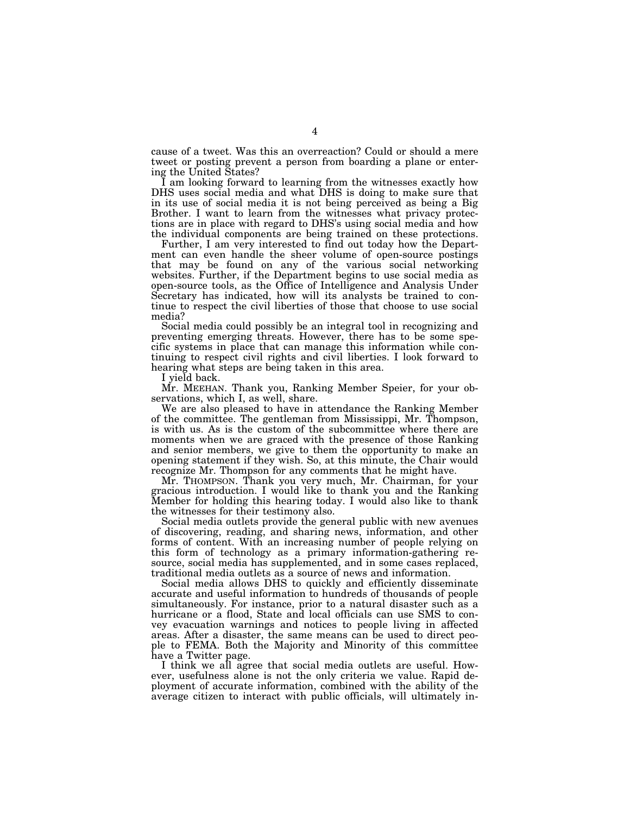cause of a tweet. Was this an overreaction? Could or should a mere tweet or posting prevent a person from boarding a plane or entering the United States?

I am looking forward to learning from the witnesses exactly how DHS uses social media and what DHS is doing to make sure that in its use of social media it is not being perceived as being a Big Brother. I want to learn from the witnesses what privacy protections are in place with regard to DHS's using social media and how the individual components are being trained on these protections.

Further, I am very interested to find out today how the Department can even handle the sheer volume of open-source postings that may be found on any of the various social networking websites. Further, if the Department begins to use social media as open-source tools, as the Office of Intelligence and Analysis Under Secretary has indicated, how will its analysts be trained to continue to respect the civil liberties of those that choose to use social media?

Social media could possibly be an integral tool in recognizing and preventing emerging threats. However, there has to be some specific systems in place that can manage this information while continuing to respect civil rights and civil liberties. I look forward to hearing what steps are being taken in this area.

I yield back.

Mr. MEEHAN. Thank you, Ranking Member Speier, for your observations, which I, as well, share.

We are also pleased to have in attendance the Ranking Member of the committee. The gentleman from Mississippi, Mr. Thompson, is with us. As is the custom of the subcommittee where there are moments when we are graced with the presence of those Ranking and senior members, we give to them the opportunity to make an opening statement if they wish. So, at this minute, the Chair would recognize Mr. Thompson for any comments that he might have.

Mr. THOMPSON. Thank you very much, Mr. Chairman, for your gracious introduction. I would like to thank you and the Ranking Member for holding this hearing today. I would also like to thank the witnesses for their testimony also.

Social media outlets provide the general public with new avenues of discovering, reading, and sharing news, information, and other forms of content. With an increasing number of people relying on this form of technology as a primary information-gathering resource, social media has supplemented, and in some cases replaced, traditional media outlets as a source of news and information.

Social media allows DHS to quickly and efficiently disseminate accurate and useful information to hundreds of thousands of people simultaneously. For instance, prior to a natural disaster such as a hurricane or a flood, State and local officials can use SMS to convey evacuation warnings and notices to people living in affected areas. After a disaster, the same means can be used to direct people to FEMA. Both the Majority and Minority of this committee have a Twitter page.

I think we all agree that social media outlets are useful. However, usefulness alone is not the only criteria we value. Rapid deployment of accurate information, combined with the ability of the average citizen to interact with public officials, will ultimately in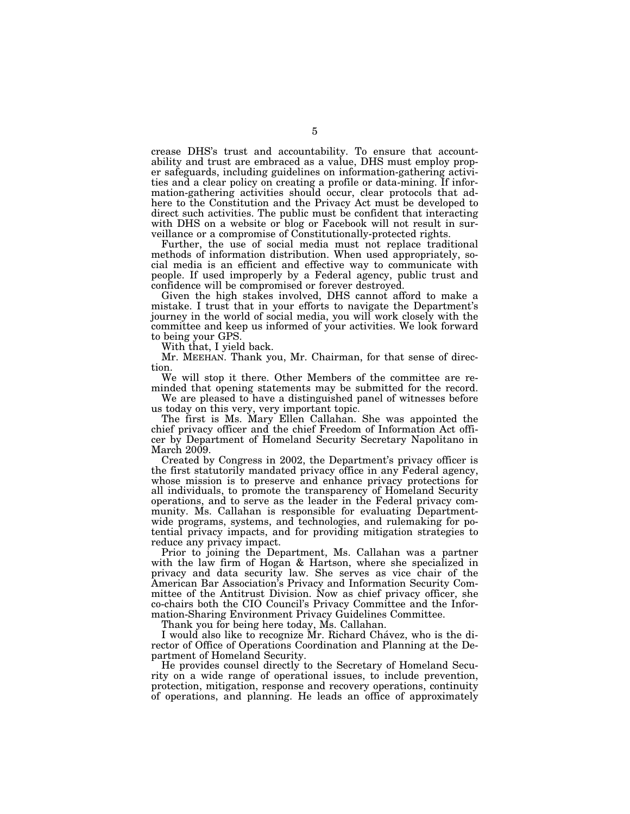crease DHS's trust and accountability. To ensure that accountability and trust are embraced as a value, DHS must employ proper safeguards, including guidelines on information-gathering activities and a clear policy on creating a profile or data-mining. If information-gathering activities should occur, clear protocols that adhere to the Constitution and the Privacy Act must be developed to direct such activities. The public must be confident that interacting with DHS on a website or blog or Facebook will not result in surveillance or a compromise of Constitutionally-protected rights.

Further, the use of social media must not replace traditional methods of information distribution. When used appropriately, social media is an efficient and effective way to communicate with people. If used improperly by a Federal agency, public trust and confidence will be compromised or forever destroyed.

Given the high stakes involved, DHS cannot afford to make a mistake. I trust that in your efforts to navigate the Department's journey in the world of social media, you will work closely with the committee and keep us informed of your activities. We look forward to being your GPS.

With that, I yield back.

Mr. MEEHAN. Thank you, Mr. Chairman, for that sense of direction.

We will stop it there. Other Members of the committee are reminded that opening statements may be submitted for the record.

We are pleased to have a distinguished panel of witnesses before us today on this very, very important topic.

The first is Ms. Mary Ellen Callahan. She was appointed the chief privacy officer and the chief Freedom of Information Act officer by Department of Homeland Security Secretary Napolitano in March 2009.

Created by Congress in 2002, the Department's privacy officer is the first statutorily mandated privacy office in any Federal agency, whose mission is to preserve and enhance privacy protections for all individuals, to promote the transparency of Homeland Security operations, and to serve as the leader in the Federal privacy community. Ms. Callahan is responsible for evaluating Departmentwide programs, systems, and technologies, and rulemaking for potential privacy impacts, and for providing mitigation strategies to reduce any privacy impact.

Prior to joining the Department, Ms. Callahan was a partner with the law firm of Hogan & Hartson, where she specialized in privacy and data security law. She serves as vice chair of the American Bar Association's Privacy and Information Security Committee of the Antitrust Division. Now as chief privacy officer, she co-chairs both the CIO Council's Privacy Committee and the Information-Sharing Environment Privacy Guidelines Committee.

Thank you for being here today, Ms. Callahan.

I would also like to recognize Mr. Richard Chávez, who is the director of Office of Operations Coordination and Planning at the Department of Homeland Security.

He provides counsel directly to the Secretary of Homeland Security on a wide range of operational issues, to include prevention, protection, mitigation, response and recovery operations, continuity of operations, and planning. He leads an office of approximately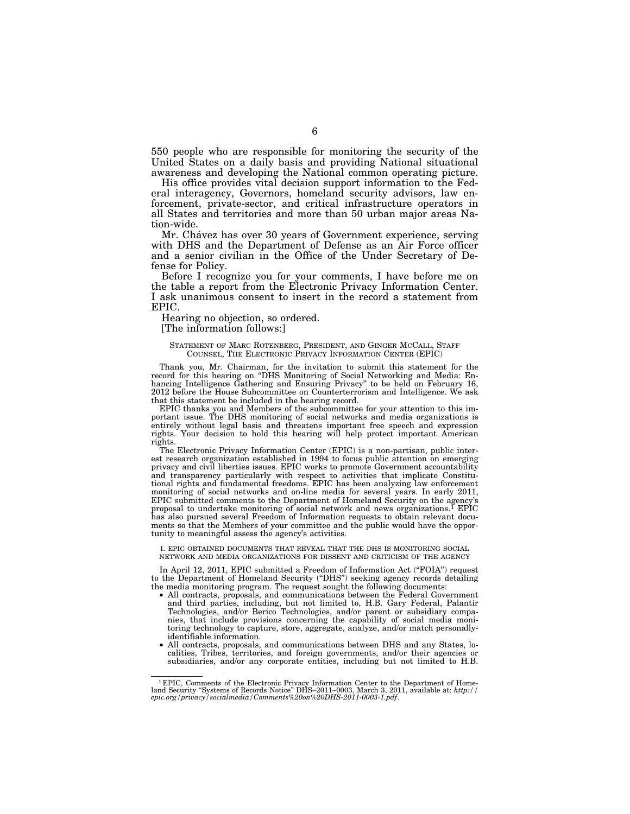550 people who are responsible for monitoring the security of the United States on a daily basis and providing National situational awareness and developing the National common operating picture.

His office provides vital decision support information to the Federal interagency, Governors, homeland security advisors, law enforcement, private-sector, and critical infrastructure operators in all States and territories and more than 50 urban major areas Nation-wide.

Mr. Chavez has over 30 years of Government experience, serving with DHS and the Department of Defense as an Air Force officer and a senior civilian in the Office of the Under Secretary of Defense for Policy.

Before I recognize you for your comments, I have before me on the table a report from the Electronic Privacy Information Center. I ask unanimous consent to insert in the record a statement from EPIC.

Hearing no objection, so ordered.

[The information follows:]

#### STATEMENT OF MARC ROTENBERG, PRESIDENT, AND GINGER MCCALL, STAFF COUNSEL, THE ELECTRONIC PRIVACY INFORMATION CENTER (EPIC)

Thank you, Mr. Chairman, for the invitation to submit this statement for the record for this hearing on ''DHS Monitoring of Social Networking and Media: Enhancing Intelligence Gathering and Ensuring Privacy'' to be held on February 16, 2012 before the House Subcommittee on Counterterrorism and Intelligence. We ask that this statement be included in the hearing record.

EPIC thanks you and Members of the subcommittee for your attention to this important issue. The DHS monitoring of social networks and media organizations is entirely without legal basis and threatens important free speech and expression rights. Your decision to hold this hearing will help protect important American rights.

The Electronic Privacy Information Center (EPIC) is a non-partisan, public interest research organization established in 1994 to focus public attention on emerging privacy and civil liberties issues. EPIC works to promote Government accountability and transparency particularly with respect to activities that implicate Constitutional rights and fundamental freedoms. EPIC has been analyzing law enforcement monitoring of social networks and on-line media for several years. In early 2011, EPIC submitted comments to the Department of Homeland Security on the agency's proposal to undertake monitoring of social network and news organizations.1 EPIC has also pursued several Freedom of Information requests to obtain relevant documents so that the Members of your committee and the public would have the opportunity to meaningful assess the agency's activities.

I. EPIC OBTAINED DOCUMENTS THAT REVEAL THAT THE DHS IS MONITORING SOCIAL NETWORK AND MEDIA ORGANIZATIONS FOR DISSENT AND CRITICISM OF THE AGENCY

In April 12, 2011, EPIC submitted a Freedom of Information Act ("FOIA") request to the Department of Homeland Security (''DHS'') seeking agency records detailing the media monitoring program. The request sought the following documents:

- All contracts, proposals, and communications between the Federal Government and third parties, including, but not limited to, H.B. Gary Federal, Palantir Technologies, and/or Berico Technologies, and/or parent or subsidiary companies, that include provisions concerning the capability of social media monitoring technology to capture, store, aggregate, analyze, and/or match personallyidentifiable information.
- All contracts, proposals, and communications between DHS and any States, localities, Tribes, territories, and foreign governments, and/or their agencies or subsidiaries, and/or any corporate entities, including but not limited to H.B.

<sup>1</sup> EPIC, Comments of the Electronic Privacy Information Center to the Department of Homeland Security ''Systems of Records Notice'' DHS–2011–0003, March 3, 2011, available at: *http:// epic.org/privacy/socialmedia/Comments%20on%20DHS-2011-0003-1.pdf*.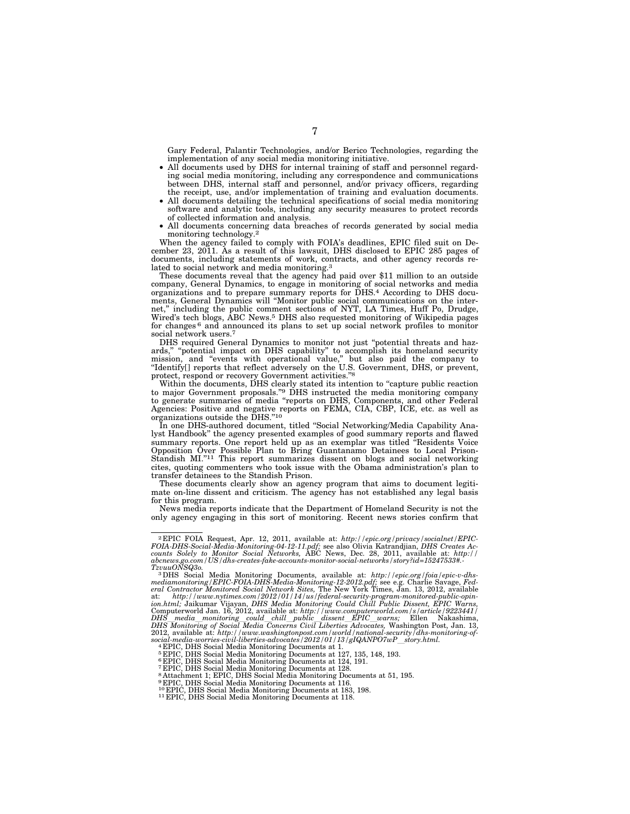Gary Federal, Palantir Technologies, and/or Berico Technologies, regarding the implementation of any social media monitoring initiative.

- All documents used by DHS for internal training of staff and personnel regarding social media monitoring, including any correspondence and communications between DHS, internal staff and personnel, and/or privacy officers, regarding the receipt, use, and/or implementation of training and evaluation documents.
- All documents detailing the technical specifications of social media monitoring software and analytic tools, including any security measures to protect records of collected information and analysis.
- All documents concerning data breaches of records generated by social media monitoring technology.2

When the agency failed to comply with FOIA's deadlines, EPIC filed suit on December 23, 2011. As a result of this lawsuit, DHS disclosed to EPIC 285 pages of documents, including statements of work, contracts, and other agency records related to social network and media monitoring.3

These documents reveal that the agency had paid over \$11 million to an outside company, General Dynamics, to engage in monitoring of social networks and media organizations and to prepare summary reports for DHS.4 According to DHS documents, General Dynamics will ''Monitor public social communications on the internet,'' including the public comment sections of NYT, LA Times, Huff Po, Drudge, Wired's tech blogs, ABC News.5 DHS also requested monitoring of Wikipedia pages for changes 6 and announced its plans to set up social network profiles to monitor social network users.7

DHS required General Dynamics to monitor not just ''potential threats and hazards," "potential impact on DHS capability" to accomplish its homeland security mission, and ''events with operational value,'' but also paid the company to ''Identify[] reports that reflect adversely on the U.S. Government, DHS, or prevent, protect, respond or recovery Government activities.''8

Within the documents, DHS clearly stated its intention to "capture public reaction to major Government proposals.''9 DHS instructed the media monitoring company to generate summaries of media ''reports on DHS, Components, and other Federal Agencies: Positive and negative reports on FEMA, CIA, CBP, ICE, etc. as well as organizations outside the DHS."<sup>10</sup>

In one DHS-authored document, titled ''Social Networking/Media Capability Analyst Handbook'' the agency presented examples of good summary reports and flawed summary reports. One report held up as an exemplar was titled ''Residents Voice Opposition Over Possible Plan to Bring Guantanamo Detainees to Local Prison-Standish MI.''11 This report summarizes dissent on blogs and social networking cites, quoting commenters who took issue with the Obama administration's plan to transfer detainees to the Standish Prison.

These documents clearly show an agency program that aims to document legitimate on-line dissent and criticism. The agency has not established any legal basis for this program.

News media reports indicate that the Department of Homeland Security is not the only agency engaging in this sort of monitoring. Recent news stories confirm that

<sup>&</sup>lt;sup>2</sup> EPIC FOIA Request, Apr. 12, 2011, available at:  $http://epic.org/privacy/socialnet/EPIC-FOIA-DHS-Social-Media-Montoring-04-12-11.pdf; see also Olivia Katrandjian, *DHS Createst Ac-counts Solely to Monitor Social Networks*, ABC News, Dec. 28, 2011, available at:  $http://$$ *abcnews.go.com/US/dhs-creates-fake-accounts-monitor-social-networks/story?id=15247533#.-* 

<sup>&</sup>lt;sup>3</sup>DHS Social Media Monitoring Documents, available at: *http://epic.org/foia/epic-v-dhs*mediamonitoring/EPIC-FOIA-DHS-Media-Monitoring-12-2012.pdf; see e.g. Charlie Savage, Fed-<br>eral Contractor Monitored Social Network Sites, The New York Times, Jan. 13, 2012, available<br>at: http://www.nytimes.com/2012/01/ ion.html; Jaikumar Vijayan, DHS Media Monitoring Could Chill Public Dissent, EPIC Warns, Computerworld Jan. 16, 2012, available at: http://www.computerworld.com/s/article/9223441/<br>DHS media monitoring could chill public di

<sup>5</sup> EPIC, DHS Social Media Monitoring Documents at 127, 135, 148, 193. 6 EPIC, DHS Social Media Monitoring Documents at 124, 191.

<sup>7</sup> EPIC, DHS Social Media Monitoring Documents at 128. 8 Attachment 1; EPIC, DHS Social Media Monitoring Documents at 51, 195.

<sup>9</sup> EPIC, DHS Social Media Monitoring Documents at 116.

<sup>10</sup> EPIC, DHS Social Media Monitoring Documents at 183, 198.<br><sup>11</sup> EPIC, DHS Social Media Monitoring Documents at 118.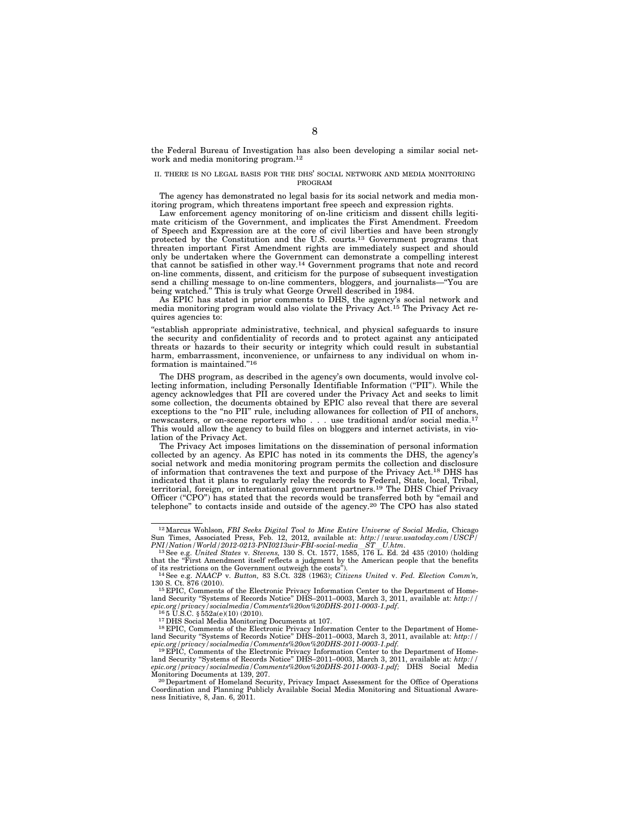the Federal Bureau of Investigation has also been developing a similar social network and media monitoring program.12

#### II. THERE IS NO LEGAL BASIS FOR THE DHS' SOCIAL NETWORK AND MEDIA MONITORING PROGRAM

The agency has demonstrated no legal basis for its social network and media monitoring program, which threatens important free speech and expression rights.

Law enforcement agency monitoring of on-line criticism and dissent chills legitimate criticism of the Government, and implicates the First Amendment. Freedom of Speech and Expression are at the core of civil liberties and have been strongly protected by the Constitution and the U.S. courts.<sup>13</sup> Government programs that threaten important First Amendment rights are immediately suspect and should only be undertaken where the Government can demonstrate a compelling interest that cannot be satisfied in other way.14 Government programs that note and record on-line comments, dissent, and criticism for the purpose of subsequent investigation send a chilling message to on-line commenters, bloggers, and journalists—''You are being watched.'' This is truly what George Orwell described in 1984.

As EPIC has stated in prior comments to DHS, the agency's social network and media monitoring program would also violate the Privacy Act.15 The Privacy Act requires agencies to:

''establish appropriate administrative, technical, and physical safeguards to insure the security and confidentiality of records and to protect against any anticipated threats or hazards to their security or integrity which could result in substantial harm, embarrassment, inconvenience, or unfairness to any individual on whom information is maintained.''16

The DHS program, as described in the agency's own documents, would involve collecting information, including Personally Identifiable Information (''PII''). While the agency acknowledges that PII are covered under the Privacy Act and seeks to limit some collection, the documents obtained by EPIC also reveal that there are several exceptions to the "no PII" rule, including allowances for collection of PII of anchors, newscasters, or on-scene reporters who... use traditional and/or social media.<sup>17</sup> This would allow the agency to build files on bloggers and internet activists, in violation of the Privacy Act.

The Privacy Act imposes limitations on the dissemination of personal information collected by an agency. As EPIC has noted in its comments the DHS, the agency's social network and media monitoring program permits the collection and disclosure of information that contravenes the text and purpose of the Privacy Act.18 DHS has indicated that it plans to regularly relay the records to Federal, State, local, Tribal, territorial, foreign, or international government partners.19 The DHS Chief Privacy Officer ("CPO") has stated that the records would be transferred both by "email and telephone'' to contacts inside and outside of the agency.20 The CPO has also stated

<sup>&</sup>lt;sup>12</sup> Marcus Wohlson, *FBI Seeks Digital Tool to Mine Entire Universe of Social Media*, Chicago Sun Times, Associated Press, Feb. 12, 2012, available at: *http://www.usatoday.com/USCP/ PNI/Nation/World/2012-0213-PNI0213wir-FBI-social-media*l*ST*l*U.htm*. 13See e.g. *United States* v. *Stevens,* 130 S. Ct. 1577, 1585, 176 L. Ed. 2d 435 (2010) (holding

that the "First Amendment itself reflects a judgment by the American people that the benefits of its restrictions on the Government outweigh the costs").

of its restrictions on the Government outweigh the costs''). 14See e.g. *NAACP* v. *Button,* 83 S.Ct. 328 (1963); *Citizens United* v. *Fed. Election Comm'n,* 

<sup>&</sup>lt;sup>15</sup> EPIC, Comments of the Electronic Privacy Information Center to the Department of Homeland Security "Systems of Records Notice" DHS-2011-0003, March 3, 2011, available at:  $http://epic.org/privacy/socialmedia/Comments%20 on%20DHS-2011-0003-I.pdf.$ <br>  $^{16}$  5 U.S.C. § 552a(e/10) (2010).<br>  $^{16}$  5 U.S.C. § 552a(e/10) (2010).<br>  $^{17}$  DHS Social M

land Security ''Systems of Records Notice'' DHS–2011–0003, March 3, 2011, available at: *http://* 

<sup>&</sup>lt;sup>19</sup> EPIC, Comments of the Electronic Privacy Information Center to the Department of Homeland Security ''Systems of Records Notice'' DHS–2011–0003, March 3, 2011, available at: *http:// epic.org/privacy/socialmedia/Comments%20on%20DHS-2011-0003-1.pdf;*<br>Monitoring Documents at 139, 207.

<sup>&</sup>lt;sup>20</sup> Department of Homeland Security, Privacy Impact Assessment for the Office of Operations Coordination and Planning Publicly Available Social Media Monitoring and Situational Awareness Initiative, 8, Jan. 6, 2011.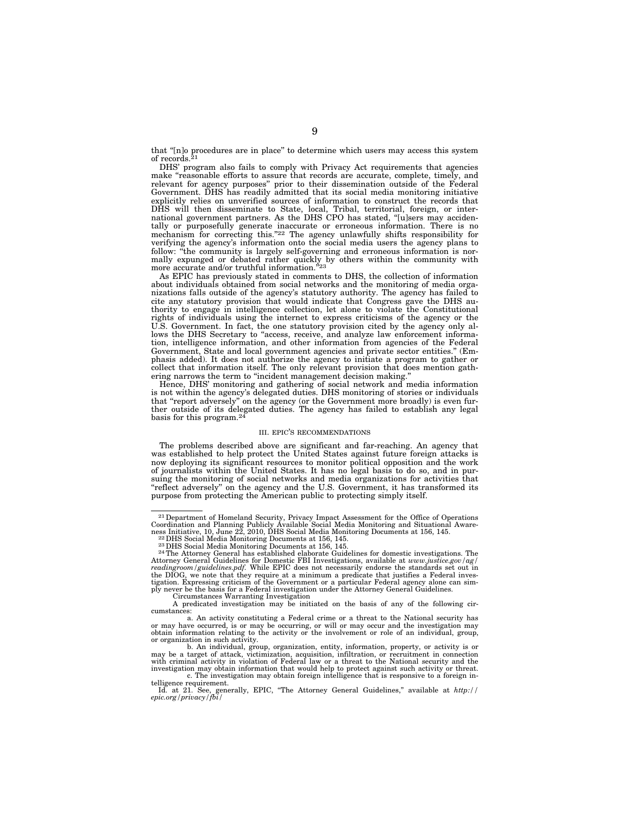that ''[n]o procedures are in place'' to determine which users may access this system of records.21

DHS' program also fails to comply with Privacy Act requirements that agencies make ''reasonable efforts to assure that records are accurate, complete, timely, and relevant for agency purposes'' prior to their dissemination outside of the Federal Government. DHS has readily admitted that its social media monitoring initiative explicitly relies on unverified sources of information to construct the records that DHS will then disseminate to State, local, Tribal, territorial, foreign, or international government partners. As the DHS CPO has stated, "[u]sers may accidentally or purposefully generate inaccurate or erroneous information. There is no mechanism for correcting this."<sup>22</sup> The agency unlawfully shifts responsibility for verifying the agency's information onto the social media users the agency plans to follow: ''the community is largely self-governing and erroneous information is normally expunged or debated rather quickly by others within the community with more accurate and/or truthful information."23

As EPIC has previously stated in comments to DHS, the collection of information about individuals obtained from social networks and the monitoring of media organizations falls outside of the agency's statutory authority. The agency has failed to cite any statutory provision that would indicate that Congress gave the DHS authority to engage in intelligence collection, let alone to violate the Constitutional rights of individuals using the internet to express criticisms of the agency or the U.S. Government. In fact, the one statutory provision cited by the agency only allows the DHS Secretary to "access, receive, and analyze law enforcement information, intelligence information, and other information from agencies of the Federal Government, State and local government agencies and private sector entities.'' (Emphasis added). It does not authorize the agency to initiate a program to gather or collect that information itself. The only relevant provision that does mention gathering narrows the term to ''incident management decision making.''

Hence, DHS' monitoring and gathering of social network and media information is not within the agency's delegated duties. DHS monitoring of stories or individuals that "report adversely" on the agency (or the Government more broadly) is even further outside of its delegated duties. The agency has failed to establish any legal basis for this program.24

#### III. EPIC'S RECOMMENDATIONS

The problems described above are significant and far-reaching. An agency that was established to help protect the United States against future foreign attacks is now deploying its significant resources to monitor political opposition and the work of journalists within the United States. It has no legal basis to do so, and in pursuing the monitoring of social networks and media organizations for activities that ''reflect adversely'' on the agency and the U.S. Government, it has transformed its purpose from protecting the American public to protecting simply itself.

<sup>&</sup>lt;sup>21</sup> Department of Homeland Security, Privacy Impact Assessment for the Office of Operations Coordination and Planning Publicly Available Social Media Monitoring and Situational Aware-

<sup>22</sup> DHS Social Media Monitoring Documents at 156, 145.<br>
<sup>22</sup> DHS Social Media Monitoring Documents at 156, 145.<br>
<sup>24</sup> The Attorney General has established elaborate Guidelines for domestic investigations. The Attorney General Guidelines for Domestic FBI Investigations, available at *www.justice.gov/ag/*<br>*readingroom/guidelines.pdf.* While EPIC does not necessarily endorse the standards set out in<br>the DIOG, we note that they req tigation. Expressing criticism of the Government or a particular Federal agency alone can sim-ply never be the basis for a Federal investigation under the Attorney General Guidelines.

Circumstances Warranting Investigation

A predicated investigation may be initiated on the basis of any of the following circumstances:

a. An activity constituting a Federal crime or a threat to the National security has or may have occurred, is or may be occurring, or will or may occur and the investigation may obtain information relating to the activity or the involvement or role of an individual, group, or organization in such activity.

b. An individual, group, organization, entity, information, property, or activity is or<br>may be a target of attack, victimization, acquisition, infiltration, or recruitment in connection<br>with criminal activity in violation investigation may obtain information that would help to protect against such activity or threat. c. The investigation may obtain foreign intelligence that is responsive to a foreign intelligence requirement.

Id. at 21. See, generally, EPIC, ''The Attorney General Guidelines,'' available at *http:// epic.org/privacy/fbi/*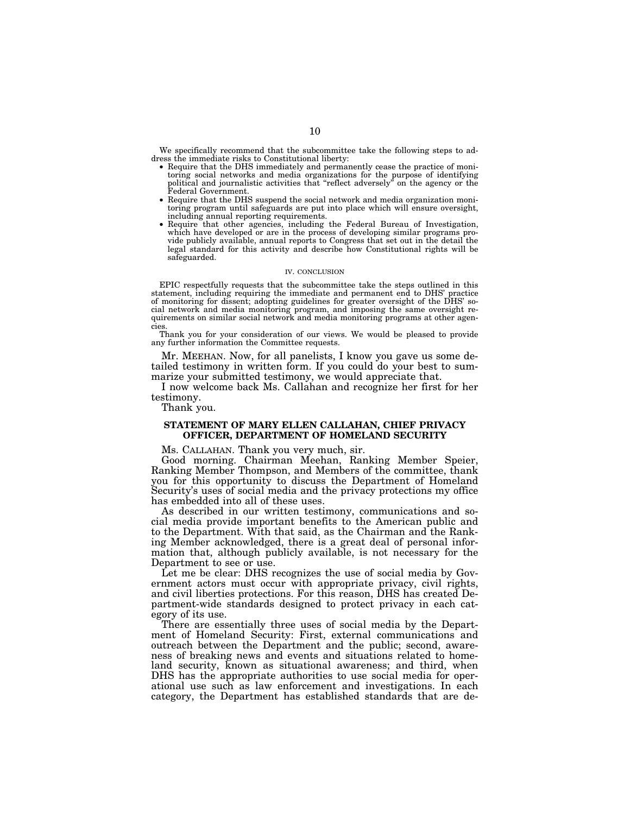We specifically recommend that the subcommittee take the following steps to address the immediate risks to Constitutional liberty:

- Require that the DHS immediately and permanently cease the practice of monitoring social networks and media organizations for the purpose of identifying political and journalistic activities that ''reflect adversely'' on the agency or the Federal Government.
- Require that the DHS suspend the social network and media organization monitoring program until safeguards are put into place which will ensure oversight, including annual reporting requirements.
- Require that other agencies, including the Federal Bureau of Investigation, which have developed or are in the process of developing similar programs provide publicly available, annual reports to Congress that set out in the detail the legal standard for this activity and describe how Constitutional rights will be safeguarded.

#### IV. CONCLUSION

EPIC respectfully requests that the subcommittee take the steps outlined in this statement, including requiring the immediate and permanent end to DHS' practice of monitoring for dissent; adopting guidelines for greater oversight of the DHS' social network and media monitoring program, and imposing the same oversight requirements on similar social network and media monitoring programs at other agencies.

Thank you for your consideration of our views. We would be pleased to provide any further information the Committee requests.

Mr. MEEHAN. Now, for all panelists, I know you gave us some detailed testimony in written form. If you could do your best to summarize your submitted testimony, we would appreciate that.

I now welcome back Ms. Callahan and recognize her first for her testimony.

Thank you.

#### **STATEMENT OF MARY ELLEN CALLAHAN, CHIEF PRIVACY OFFICER, DEPARTMENT OF HOMELAND SECURITY**

Ms. CALLAHAN. Thank you very much, sir.

Good morning. Chairman Meehan, Ranking Member Speier, Ranking Member Thompson, and Members of the committee, thank you for this opportunity to discuss the Department of Homeland Security's uses of social media and the privacy protections my office has embedded into all of these uses.

As described in our written testimony, communications and social media provide important benefits to the American public and to the Department. With that said, as the Chairman and the Ranking Member acknowledged, there is a great deal of personal information that, although publicly available, is not necessary for the Department to see or use.

Let me be clear: DHS recognizes the use of social media by Government actors must occur with appropriate privacy, civil rights, and civil liberties protections. For this reason, DHS has created Department-wide standards designed to protect privacy in each category of its use.

There are essentially three uses of social media by the Department of Homeland Security: First, external communications and outreach between the Department and the public; second, awareness of breaking news and events and situations related to homeland security, known as situational awareness; and third, when DHS has the appropriate authorities to use social media for operational use such as law enforcement and investigations. In each category, the Department has established standards that are de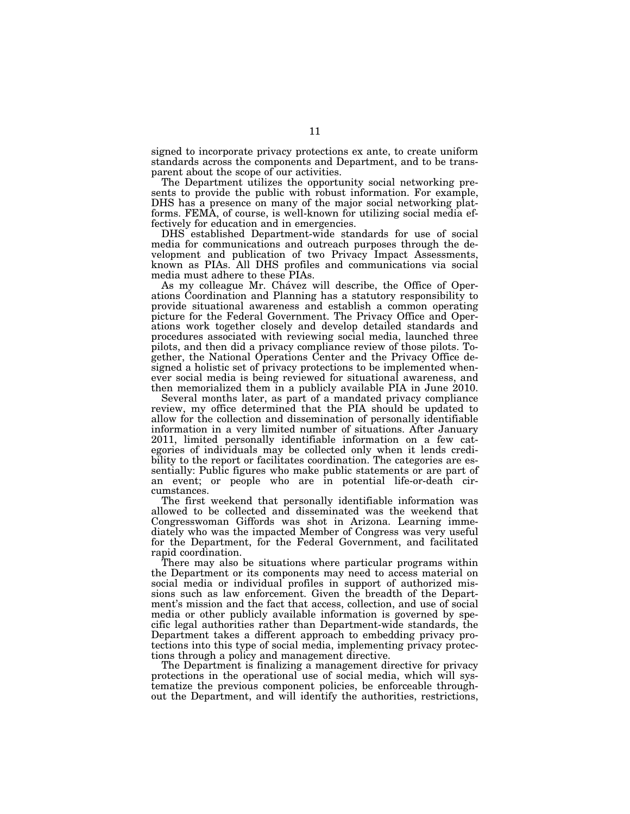signed to incorporate privacy protections ex ante, to create uniform standards across the components and Department, and to be transparent about the scope of our activities.

The Department utilizes the opportunity social networking presents to provide the public with robust information. For example, DHS has a presence on many of the major social networking platforms. FEMA, of course, is well-known for utilizing social media effectively for education and in emergencies.

DHS established Department-wide standards for use of social media for communications and outreach purposes through the development and publication of two Privacy Impact Assessments, known as PIAs. All DHS profiles and communications via social media must adhere to these PIAs.

As my colleague Mr. Chávez will describe, the Office of Operations Coordination and Planning has a statutory responsibility to provide situational awareness and establish a common operating picture for the Federal Government. The Privacy Office and Operations work together closely and develop detailed standards and procedures associated with reviewing social media, launched three pilots, and then did a privacy compliance review of those pilots. Together, the National Operations Center and the Privacy Office designed a holistic set of privacy protections to be implemented whenever social media is being reviewed for situational awareness, and then memorialized them in a publicly available PIA in June 2010.

Several months later, as part of a mandated privacy compliance review, my office determined that the PIA should be updated to allow for the collection and dissemination of personally identifiable information in a very limited number of situations. After January 2011, limited personally identifiable information on a few categories of individuals may be collected only when it lends credibility to the report or facilitates coordination. The categories are essentially: Public figures who make public statements or are part of an event; or people who are in potential life-or-death circumstances.

The first weekend that personally identifiable information was allowed to be collected and disseminated was the weekend that Congresswoman Giffords was shot in Arizona. Learning immediately who was the impacted Member of Congress was very useful for the Department, for the Federal Government, and facilitated rapid coordination.

There may also be situations where particular programs within the Department or its components may need to access material on social media or individual profiles in support of authorized missions such as law enforcement. Given the breadth of the Department's mission and the fact that access, collection, and use of social media or other publicly available information is governed by specific legal authorities rather than Department-wide standards, the Department takes a different approach to embedding privacy protections into this type of social media, implementing privacy protections through a policy and management directive.

The Department is finalizing a management directive for privacy protections in the operational use of social media, which will systematize the previous component policies, be enforceable throughout the Department, and will identify the authorities, restrictions,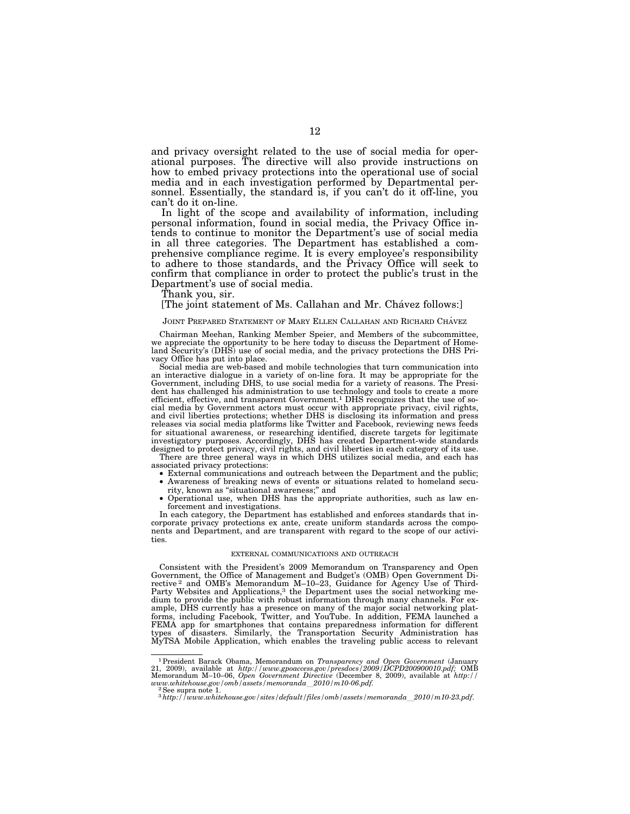and privacy oversight related to the use of social media for operational purposes. The directive will also provide instructions on how to embed privacy protections into the operational use of social media and in each investigation performed by Departmental personnel. Essentially, the standard is, if you can't do it off-line, you can't do it on-line.

In light of the scope and availability of information, including personal information, found in social media, the Privacy Office intends to continue to monitor the Department's use of social media in all three categories. The Department has established a comprehensive compliance regime. It is every employee's responsibility to adhere to those standards, and the Privacy Office will seek to confirm that compliance in order to protect the public's trust in the Department's use of social media.

Thank you, sir.

#### [The joint statement of Ms. Callahan and Mr. Chavez follows:]

#### JOINT PREPARED STATEMENT OF MARY ELLEN CALLAHAN AND RICHARD CHÁVEZ

Chairman Meehan, Ranking Member Speier, and Members of the subcommittee, we appreciate the opportunity to be here today to discuss the Department of Homeland Security's (DHS) use of social media, and the privacy protection vacy Office has put into place.

Social media are web-based and mobile technologies that turn communication into an interactive dialogue in a variety of on-line fora. It may be appropriate for the Government, including DHS, to use social media for a variety of reasons. The President has challenged his administration to use technology and tools to create a more efficient, effective, and transparent Government.<sup>1</sup> DHS recognizes that the use of social media by Government actors must occur with appropriate privacy, civil rights, and civil liberties protections; whether DHS is disclosing its information and press releases via social media platforms like Twitter and Facebook, reviewing news feeds for situational awareness, or researching identified, discrete targets for legitimate investigatory purposes. Accordingly, DHS has created Department-wide standards designed to protect privacy, civil rights, and civil liberties in each category of its use.

There are three general ways in which DHS utilizes social media, and each has associated privacy protections:

- External communications and outreach between the Department and the public; • Awareness of breaking news of events or situations related to homeland secu-
- rity, known as ''situational awareness;'' and
- Operational use, when DHS has the appropriate authorities, such as law enforcement and investigations.

In each category, the Department has established and enforces standards that incorporate privacy protections ex ante, create uniform standards across the components and Department, and are transparent with regard to the scope of our activities.

#### EXTERNAL COMMUNICATIONS AND OUTREACH

Consistent with the President's 2009 Memorandum on Transparency and Open Government, the Office of Management and Budget's (OMB) Open Government Directive 2 and OMB's Memorandum M–10–23, Guidance for Agency Use of Third-Party Websites and Applications,<sup>3</sup> the Department uses the social networking medium to provide the public with robust information through many channels. For example, DHS currently has a presence on many of the major social networking platforms, including Facebook, Twitter, and YouTube. In addition, FEMA launched a FEMA app for smartphones that contains preparedness information for different types of disasters. Similarly, the Transportation Security Administration has MyTSA Mobile Application, which enables the traveling public access to relevant

<sup>&</sup>lt;sup>1</sup> President Barack Obama, Memorandum on *Transparency and Open Government* (January 21, 2009), available at  $http://www.gpoaccess.gov/presdocs/2009/DCPD200900010.pdf; OMB$ <br>Memorandum M-10-06, Open Government Directive (December 8, 2009), available a *www.whitehouse.gov/omb/assets/memoranda*l*2010/m10-06.pdf.* 2See supra note 1.

<sup>3</sup>*http://www.whitehouse.gov/sites/default/files/omb/assets/memoranda*l*2010/m10-23.pdf*.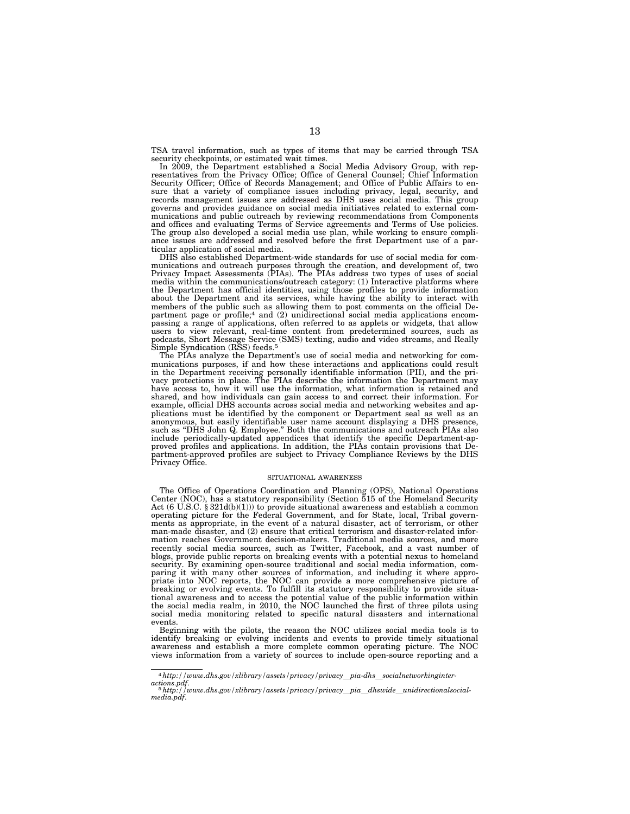TSA travel information, such as types of items that may be carried through TSA security checkpoints, or estimated wait times.

In 2009, the Department established a Social Media Advisory Group, with representatives from the Privacy Office; Office of General Counsel; Chief Information Security Officer; Office of Records Management; and Office of Public Affairs to ensure that a variety of compliance issues including privacy, legal, security, and records management issues are addressed as DHS uses social media. This group governs and provides guidance on social media initiatives related to external communications and public outreach by reviewing recommendations from Components and offices and evaluating Terms of Service agreements and Terms of Use policies. The group also developed a social media use plan, while working to ensure compliance issues are addressed and resolved before the first Department use of a particular application of social media.

DHS also established Department-wide standards for use of social media for communications and outreach purposes through the creation, and development of, two Privacy Impact Assessments (PIAs). The PIAs address two types of uses of social media within the communications/outreach category: (1) Interactive platforms where the Department has official identities, using those profiles to provide information about the Department and its services, while having the ability to interact with members of the public such as allowing them to post comments on the official Department page or profile;4 and (2) unidirectional social media applications encompassing a range of applications, often referred to as applets or widgets, that allow users to view relevant, real-time content from predetermined sources, such as podcasts, Short Message Service (SMS) texting, audio and video streams, and Really Simple Syndication (RSS) feeds.<sup>5</sup>

The PIAs analyze the Department's use of social media and networking for communications purposes, if and how these interactions and applications could result in the Department receiving personally identifiable information (PII), and the privacy protections in place. The PIAs describe the information the Department may have access to, how it will use the information, what information is retained and shared, and how individuals can gain access to and correct their information. For example, official DHS accounts across social media and networking websites and applications must be identified by the component or Department seal as well as an anonymous, but easily identifiable user name account displaying a DHS presence, such as ''DHS John Q. Employee.'' Both the communications and outreach PIAs also include periodically-updated appendices that identify the specific Department-approved profiles and applications. In addition, the PIAs contain provisions that Department-approved profiles are subject to Privacy Compliance Reviews by the DHS Privacy Office.

#### SITUATIONAL AWARENESS

The Office of Operations Coordination and Planning (OPS), National Operations Center (NOC), has a statutory responsibility (Section 515 of the Homeland Security Act  $(6 \text{ U.S.C. } §321d(b)(1))$  to provide situational awareness and establish a common operating picture for the Federal Government, and for State, local, Tribal governments as appropriate, in the event of a natural disaster, act of terrorism, or other man-made disaster, and (2) ensure that critical terrorism and disaster-related information reaches Government decision-makers. Traditional media sources, and more recently social media sources, such as Twitter, Facebook, and a vast number of blogs, provide public reports on breaking events with a potential nexus to homeland security. By examining open-source traditional and social media information, comparing it with many other sources of information, and including it where appropriate into NOC reports, the NOC can provide a more comprehensive picture of breaking or evolving events. To fulfill its statutory responsibility to provide situational awareness and to access the potential value of the public information within the social media realm, in 2010, the NOC launched the first of three pilots using social media monitoring related to specific natural disasters and international events.

Beginning with the pilots, the reason the NOC utilizes social media tools is to identify breaking or evolving incidents and events to provide timely situational awareness and establish a more complete common operating picture. The NOC views information from a variety of sources to include open-source reporting and a

<sup>4</sup>*http://www.dhs.gov/xlibrary/assets/privacy/privacy*l*pia-dhs*l*socialnetworkinginter-*

*actions.pdf*. 5*http://www.dhs.gov/xlibrary/assets/privacy/privacy*l*pia*l*dhswide*l*unidirectionalsocial-media.pdf*.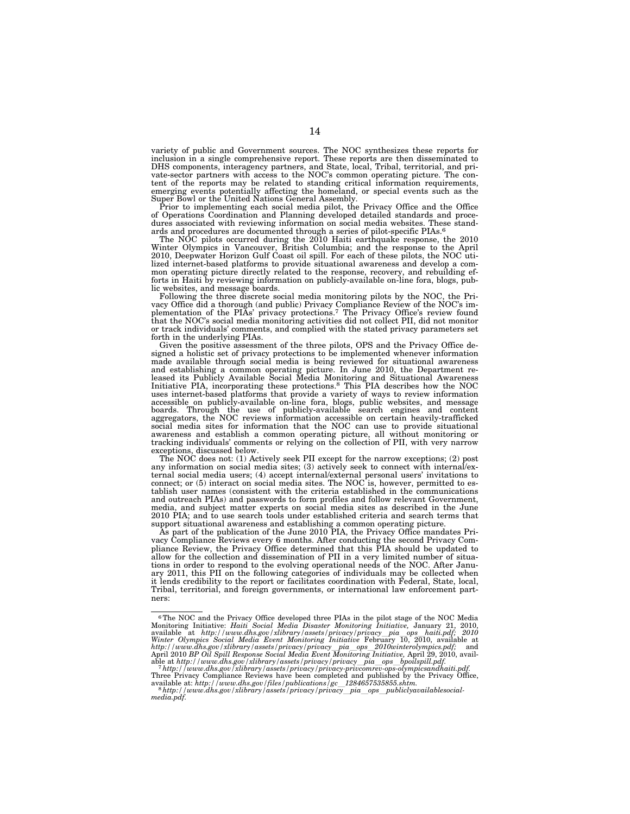variety of public and Government sources. The NOC synthesizes these reports for<br>inclusion in a single comprehensive report. These reports are then disseminated to<br>DHS components, interagency partners, and State, local, Tri tent of the reports may be related to standing critical information requirements, emerging events potentially affecting the homeland, or special events such as the Super Bowl or the United Nations General Assembly.

Prior to implementing each social media pilot, the Privacy Office and the Office of Operations Coordination and Planning developed detailed standards and procedures associated with reviewing information on social media websites. These standards and procedures are documented through a series of pilot-specific PIAs.6

The NOC pilots occurred during the 2010 Haiti earthquake response, the 2010<br>Winter Olympics in Vancouver, British Columbia; and the response to the April<br>2010, Deepwater Horizon Gulf Coast oil spill. For each of these pilo mon operating picture directly related to the response, recovery, and rebuilding ef-forts in Haiti by reviewing information on publicly-available on-line fora, blogs, pub-

lic websites, and message boards. Following the three discrete social media monitoring pilots by the NOC, the Privacy Office did a thorough (and public) Privacy Compliance Review of the NOC's im-plementation of the PIAs' privacy protections.7 The Privacy Office's review found that the NOC's social media monitoring activities did not collect PII, did not monitor or track individuals' comments, and complied with the stated privacy parameters set forth in the underlying PIAs.

Given the positive assessment of the three pilots, OPS and the Privacy Office designed a holistic set of privacy protections to be implemented whenever information<br>made available through social media is being reviewed for situational awareness<br>and establishing a common operating picture. In June 2010, social media sites for information that the NOC can use to provide situational awareness and establish a common operating picture, all without monitoring or tracking individuals' comments or relying on the collection of PII, with very narrow

exceptions, discussed below. The NOC does not: (1) Actively seek PII except for the narrow exceptions; (2) post any information on social media sites; (3) actively seek to connect with internal/external social media users; (4) accept internal/external personal users' invitations to connect; or (5) interact on social media sites. The NOC is, however, permitted to es-tablish user names (consistent with the criteria established in the communications and outreach PIAs) and passwords to form profiles and follow relevant Government, media, and subject matter experts on social media sites as described in the June 2010 PIA; and to use search tools under established criteria and search terms that support situational awareness and establishing a common operating picture.

As part of the publication of the June 2010 PIA, the Privacy Office mandates Privacy Compliance Reviews every 6 months. After conducting the second Privacy Compliance Review, the Privacy Office determined that this PIA should be updated to allow for the collection and dissemination of PII in a very limited number of situations in order to respond to the evolving operational needs of the NOC. After January 2011, this PII on the following categories of individuals may be collected when it lends credibility to the report or facilitates coordination with Federal, State, local, Tribal, territorial, and foreign governments, or international law enforcement partners:

<sup>6</sup>The NOC and the Privacy Office developed three PIAs in the pilot stage of the NOC Media Monitoring Initiative: *Haiti Social Media Disaster Monitoring Initiative*, January 21, 2010,<br>available at *http://www.dhs.gov/xlibrary/assets/privacy/privacy\_pia\_ops haiti.pdf; 2010*<br>Wi*nter Olympics Social Media Event Mo* http://www.dhs.gov/xlibrary/assets/privacy/privacy\_pia\_ops\_2010winterolympics.pdf; and<br>April 2010 *BP* Oil Spill Response Social Media Event Monitoring Initiative, April 29, 2010, avail-<br>able at http://www.dhs.gov/xlibrar

available at: *http://www.dhs.gov/files/publications/gc*l*1284657535855.shtm.* 8*http://www.dhs.gov/xlibrary/assets/privacy/privacy*l*pia*l*ops*l*publiclyavailablesocial-media.pdf.*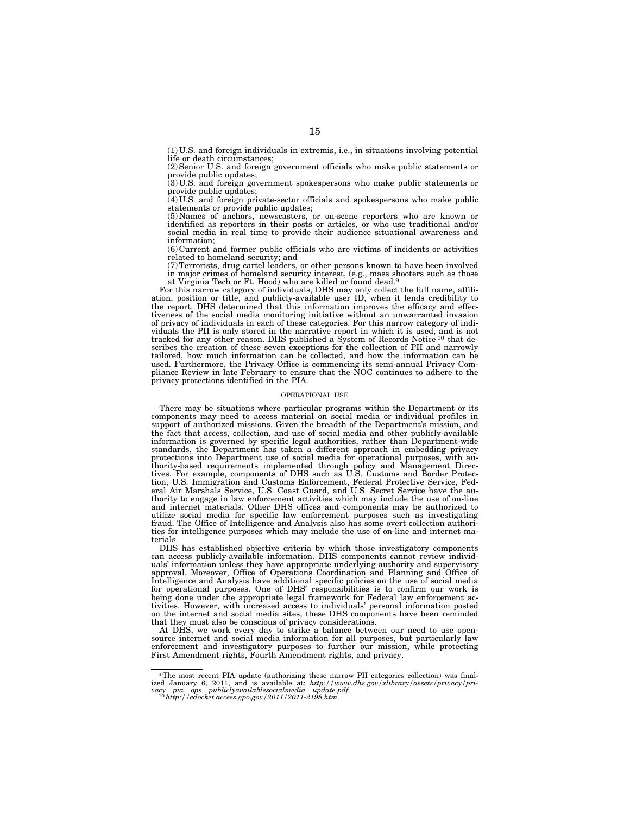(1) U.S. and foreign individuals in extremis, i.e., in situations involving potential life or death circumstances;

(2) Senior U.S. and foreign government officials who make public statements or provide public updates;

(3) U.S. and foreign government spokespersons who make public statements or provide public updates;

(4) U.S. and foreign private-sector officials and spokespersons who make public statements or provide public updates;

(5) Names of anchors, newscasters, or on-scene reporters who are known or identified as reporters in their posts or articles, or who use traditional and/or social media in real time to provide their audience situational awareness and information;

(6) Current and former public officials who are victims of incidents or activities related to homeland security; and

(7) Terrorists, drug cartel leaders, or other persons known to have been involved in major crimes of homeland security interest, (e.g., mass shooters such as those at Virginia Tech or Ft. Hood) who are killed or found dead.9

For this narrow category of individuals, DHS may only collect the full name, affiliation, position or title, and publicly-available user ID, when it lends credibility to the report. DHS determined that this information improves the efficacy and effectiveness of the social media monitoring initiative without an unwarranted invasion of privacy of individuals in each of these categories. For this narrow category of individuals the PII is only stored in the narrative report in which it is used, and is not tracked for any other reason. DHS published a System of Records Notice 10 that describes the creation of these seven exceptions for the collection of PII and narrowly tailored, how much information can be collected, and how the information can be used. Furthermore, the Privacy Office is commencing its semi-annual Privacy Compliance Review in late February to ensure that the NOC continues to adhere to the privacy protections identified in the PIA.

#### OPERATIONAL USE

There may be situations where particular programs within the Department or its components may need to access material on social media or individual profiles in support of authorized missions. Given the breadth of the Department's mission, and the fact that access, collection, and use of social media and other publicly-available information is governed by specific legal authorities, rather than Department-wide standards, the Department has taken a different approach in embedding privacy protections into Department use of social media for operational purposes, with authority-based requirements implemented through policy and Management Directives. For example, components of DHS such as U.S. Customs and Border Protection, U.S. Immigration and Customs Enforcement, Federal Protective Service, Federal Air Marshals Service, U.S. Coast Guard, and U.S. Secret Service have the authority to engage in law enforcement activities which may include the use of on-line and internet materials. Other DHS offices and components may be authorized to utilize social media for specific law enforcement purposes such as investigating fraud. The Office of Intelligence and Analysis also has some overt collection authorities for intelligence purposes which may include the use of on-line and internet materials.

DHS has established objective criteria by which those investigatory components can access publicly-available information. DHS components cannot review individuals' information unless they have appropriate underlying authority and supervisory approval. Moreover, Office of Operations Coordination and Planning and Office of Intelligence and Analysis have additional specific policies on the use of social media for operational purposes. One of DHS' responsibilities is to confirm our work is being done under the appropriate legal framework for Federal law enforcement activities. However, with increased access to individuals' personal information posted on the internet and social media sites, these DHS components have been reminded that they must also be conscious of privacy considerations.

At DHS, we work every day to strike a balance between our need to use opensource internet and social media information for all purposes, but particularly law enforcement and investigatory purposes to further our mission, while protecting First Amendment rights, Fourth Amendment rights, and privacy.

<sup>&</sup>lt;sup>9</sup>The most recent PIA update (authorizing these narrow PII categories collection) was finalized January 6, 2011, and is available at: http://www.dhs.gov/xlibrary/assets/privacy/privacy/privacy.pia ops\_publiclyavailableso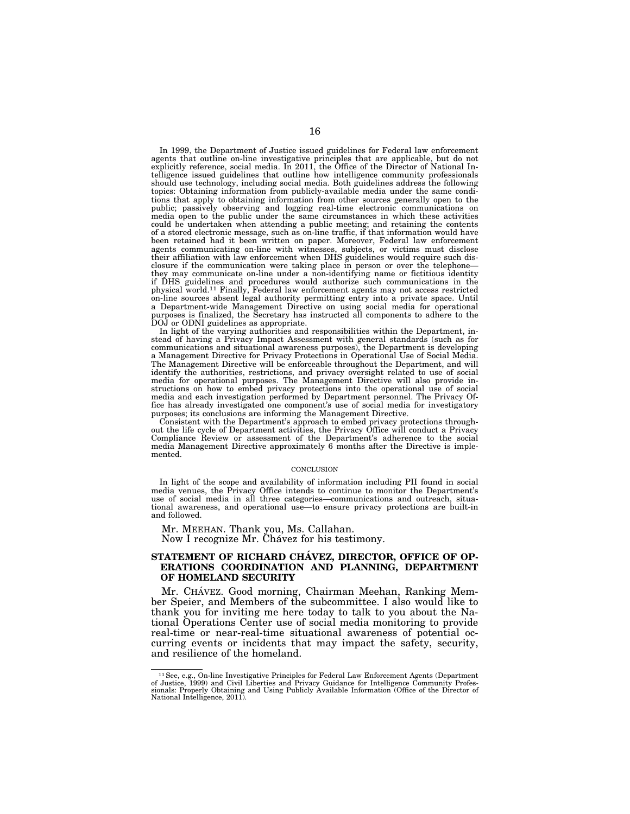In 1999, the Department of Justice issued guidelines for Federal law enforcement agents that outline on-line investigative principles that are applicable, but do not explicitly reference, social media. In 2011, the Office of the Director of National Intelligence issued guidelines that outline how intelligence community professionals should use technology, including social media. Both guidelines address the following topics: Obtaining information from publicly-available media under the same conditions that apply to obtaining information from other sources generally open to the public; passively observing and logging real-time electronic communications on media open to the public under the same circumstances in which these activities could be undertaken when attending a public meeting; and retaining the contents of a stored electronic message, such as on-line traffic, if that information would have been retained had it been written on paper. Moreover, Federal law enforcement agents communicating on-line with witnesses, subjects, or victims must disclose their affiliation with law enforcement when DHS guidelines would require such disclosure if the communication were taking place in person or over the telephone they may communicate on-line under a non-identifying name or fictitious identity if DHS guidelines and procedures would authorize such communications in the physical world.11 Finally, Federal law enforcement agents may not access restricted on-line sources absent legal authority permitting entry into a private space. Until a Department-wide Management Directive on using social media for operational purposes is finalized, the Secretary has instructed all components to adhere to the DOJ or ODNI guidelines as appropriate.

In light of the varying authorities and responsibilities within the Department, instead of having a Privacy Impact Assessment with general standards (such as for communications and situational awareness purposes), the Department is developing a Management Directive for Privacy Protections in Operational Use of Social Media. The Management Directive will be enforceable throughout the Department, and will identify the authorities, restrictions, and privacy oversight related to use of social media for operational purposes. The Management Directive will also provide instructions on how to embed privacy protections into the operational use of social media and each investigation performed by Department personnel. The Privacy Office has already investigated one component's use of social media for investigatory purposes; its conclusions are informing the Management Directive.

Consistent with the Department's approach to embed privacy protections throughout the life cycle of Department activities, the Privacy Office will conduct a Privacy Compliance Review or assessment of the Department's adherence to the social media Management Directive approximately 6 months after the Directive is implemented.

#### **CONCLUSION**

In light of the scope and availability of information including PII found in social media venues, the Privacy Office intends to continue to monitor the Department's use of social media in all three categories—communications and outreach, situational awareness, and operational use—to ensure privacy protections are built-in and followed.

Mr. MEEHAN. Thank you, Ms. Callahan.

Now I recognize Mr. Chavez for his testimony.

#### STATEMENT OF RICHARD CHAVEZ, DIRECTOR, OFFICE OF OP-**ERATIONS COORDINATION AND PLANNING, DEPARTMENT OF HOMELAND SECURITY**

Mr. CHÁVEZ. Good morning, Chairman Meehan, Ranking Member Speier, and Members of the subcommittee. I also would like to thank you for inviting me here today to talk to you about the National Operations Center use of social media monitoring to provide real-time or near-real-time situational awareness of potential occurring events or incidents that may impact the safety, security, and resilience of the homeland.

<sup>11</sup>See, e.g., On-line Investigative Principles for Federal Law Enforcement Agents (Department of Justice, 1999) and Civil Liberties and Privacy Guidance for Intelligence Community Professionals: Properly Obtaining and Using Publicly Available Information (Office of the Director of National Intelligence, 2011).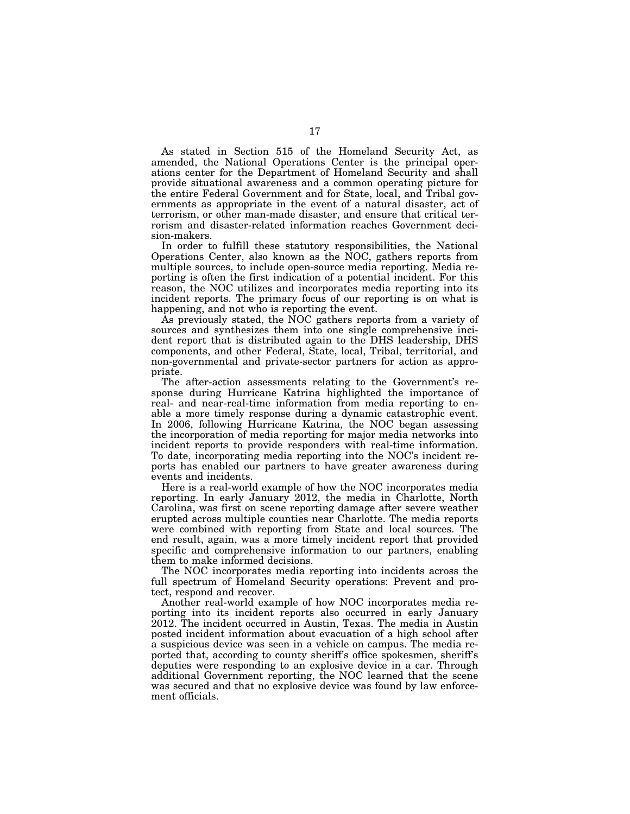As stated in Section 515 of the Homeland Security Act, as amended, the National Operations Center is the principal operations center for the Department of Homeland Security and shall provide situational awareness and a common operating picture for the entire Federal Government and for State, local, and Tribal governments as appropriate in the event of a natural disaster, act of terrorism, or other man-made disaster, and ensure that critical terrorism and disaster-related information reaches Government decision-makers.

In order to fulfill these statutory responsibilities, the National Operations Center, also known as the NOC, gathers reports from multiple sources, to include open-source media reporting. Media reporting is often the first indication of a potential incident. For this reason, the NOC utilizes and incorporates media reporting into its incident reports. The primary focus of our reporting is on what is happening, and not who is reporting the event.

As previously stated, the NOC gathers reports from a variety of sources and synthesizes them into one single comprehensive incident report that is distributed again to the DHS leadership, DHS components, and other Federal, State, local, Tribal, territorial, and non-governmental and private-sector partners for action as appropriate.

The after-action assessments relating to the Government's response during Hurricane Katrina highlighted the importance of real- and near-real-time information from media reporting to enable a more timely response during a dynamic catastrophic event. In 2006, following Hurricane Katrina, the NOC began assessing the incorporation of media reporting for major media networks into incident reports to provide responders with real-time information. To date, incorporating media reporting into the NOC's incident reports has enabled our partners to have greater awareness during events and incidents.

Here is a real-world example of how the NOC incorporates media reporting. In early January 2012, the media in Charlotte, North Carolina, was first on scene reporting damage after severe weather erupted across multiple counties near Charlotte. The media reports were combined with reporting from State and local sources. The end result, again, was a more timely incident report that provided specific and comprehensive information to our partners, enabling them to make informed decisions.

The NOC incorporates media reporting into incidents across the full spectrum of Homeland Security operations: Prevent and protect, respond and recover.

Another real-world example of how NOC incorporates media reporting into its incident reports also occurred in early January 2012. The incident occurred in Austin, Texas. The media in Austin posted incident information about evacuation of a high school after a suspicious device was seen in a vehicle on campus. The media reported that, according to county sheriff's office spokesmen, sheriff's deputies were responding to an explosive device in a car. Through additional Government reporting, the NOC learned that the scene was secured and that no explosive device was found by law enforcement officials.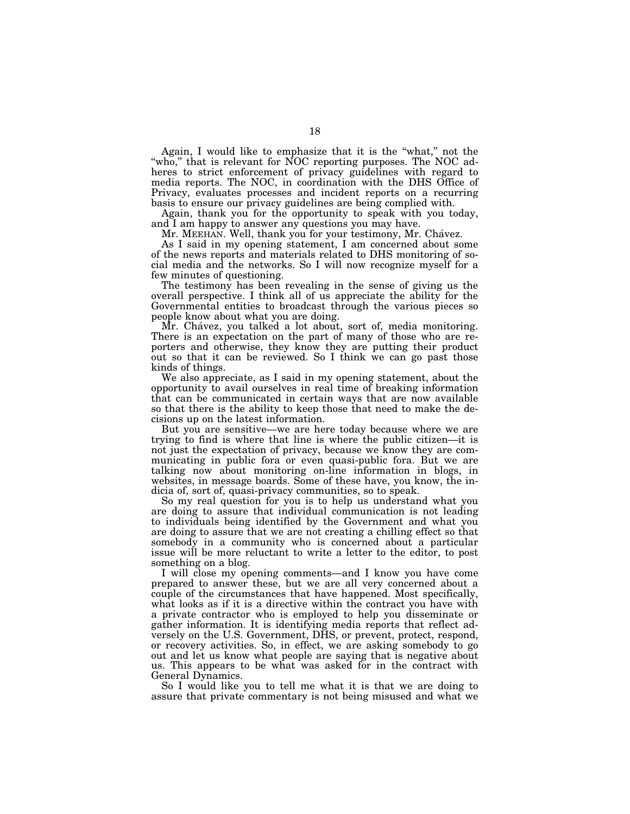Again, I would like to emphasize that it is the "what," not the "who," that is relevant for NOC reporting purposes. The NOC adheres to strict enforcement of privacy guidelines with regard to media reports. The NOC, in coordination with the DHS Office of Privacy, evaluates processes and incident reports on a recurring basis to ensure our privacy guidelines are being complied with.

Again, thank you for the opportunity to speak with you today, and I am happy to answer any questions you may have.

Mr. MEEHAN. Well, thank you for your testimony, Mr. Chávez.

As I said in my opening statement, I am concerned about some of the news reports and materials related to DHS monitoring of social media and the networks. So I will now recognize myself for a few minutes of questioning.

The testimony has been revealing in the sense of giving us the overall perspective. I think all of us appreciate the ability for the Governmental entities to broadcast through the various pieces so people know about what you are doing.

Mr. Chávez, you talked a lot about, sort of, media monitoring. There is an expectation on the part of many of those who are reporters and otherwise, they know they are putting their product out so that it can be reviewed. So I think we can go past those kinds of things.

We also appreciate, as I said in my opening statement, about the opportunity to avail ourselves in real time of breaking information that can be communicated in certain ways that are now available so that there is the ability to keep those that need to make the decisions up on the latest information.

But you are sensitive—we are here today because where we are trying to find is where that line is where the public citizen—it is not just the expectation of privacy, because we know they are communicating in public fora or even quasi-public fora. But we are talking now about monitoring on-line information in blogs, in websites, in message boards. Some of these have, you know, the indicia of, sort of, quasi-privacy communities, so to speak.

So my real question for you is to help us understand what you are doing to assure that individual communication is not leading to individuals being identified by the Government and what you are doing to assure that we are not creating a chilling effect so that somebody in a community who is concerned about a particular issue will be more reluctant to write a letter to the editor, to post something on a blog.

I will close my opening comments—and I know you have come prepared to answer these, but we are all very concerned about a couple of the circumstances that have happened. Most specifically, what looks as if it is a directive within the contract you have with a private contractor who is employed to help you disseminate or gather information. It is identifying media reports that reflect adversely on the U.S. Government, DHS, or prevent, protect, respond, or recovery activities. So, in effect, we are asking somebody to go out and let us know what people are saying that is negative about us. This appears to be what was asked for in the contract with General Dynamics.

So I would like you to tell me what it is that we are doing to assure that private commentary is not being misused and what we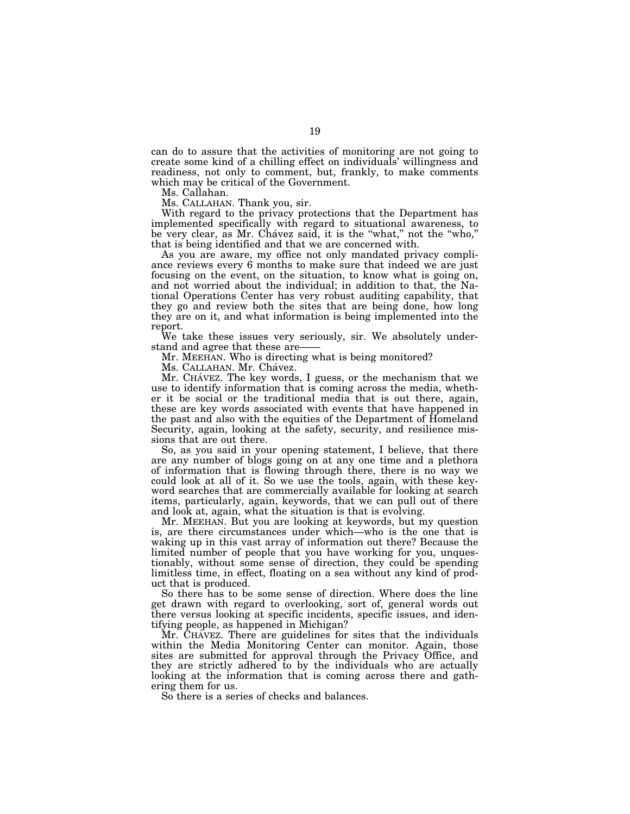can do to assure that the activities of monitoring are not going to create some kind of a chilling effect on individuals' willingness and readiness, not only to comment, but, frankly, to make comments which may be critical of the Government.

Ms. Callahan.

Ms. CALLAHAN. Thank you, sir.

With regard to the privacy protections that the Department has implemented specifically with regard to situational awareness, to be very clear, as Mr. Chávez said, it is the "what," not the "who," that is being identified and that we are concerned with.

As you are aware, my office not only mandated privacy compliance reviews every 6 months to make sure that indeed we are just focusing on the event, on the situation, to know what is going on, and not worried about the individual; in addition to that, the National Operations Center has very robust auditing capability, that they go and review both the sites that are being done, how long they are on it, and what information is being implemented into the report.

We take these issues very seriously, sir. We absolutely understand and agree that these are-

Mr. MEEHAN. Who is directing what is being monitored?

Ms. CALLAHAN. Mr. Chávez.

Mr. CHÁVEZ. The key words, I guess, or the mechanism that we use to identify information that is coming across the media, whether it be social or the traditional media that is out there, again, these are key words associated with events that have happened in the past and also with the equities of the Department of Homeland Security, again, looking at the safety, security, and resilience missions that are out there.

So, as you said in your opening statement, I believe, that there are any number of blogs going on at any one time and a plethora of information that is flowing through there, there is no way we could look at all of it. So we use the tools, again, with these keyword searches that are commercially available for looking at search items, particularly, again, keywords, that we can pull out of there and look at, again, what the situation is that is evolving.

Mr. MEEHAN. But you are looking at keywords, but my question is, are there circumstances under which—who is the one that is waking up in this vast array of information out there? Because the limited number of people that you have working for you, unquestionably, without some sense of direction, they could be spending limitless time, in effect, floating on a sea without any kind of product that is produced.

So there has to be some sense of direction. Where does the line get drawn with regard to overlooking, sort of, general words out there versus looking at specific incidents, specific issues, and identifying people, as happened in Michigan?

Mr. CHAVEZ. There are guidelines for sites that the individuals within the Media Monitoring Center can monitor. Again, those sites are submitted for approval through the Privacy Office, and they are strictly adhered to by the individuals who are actually looking at the information that is coming across there and gathering them for us.

So there is a series of checks and balances.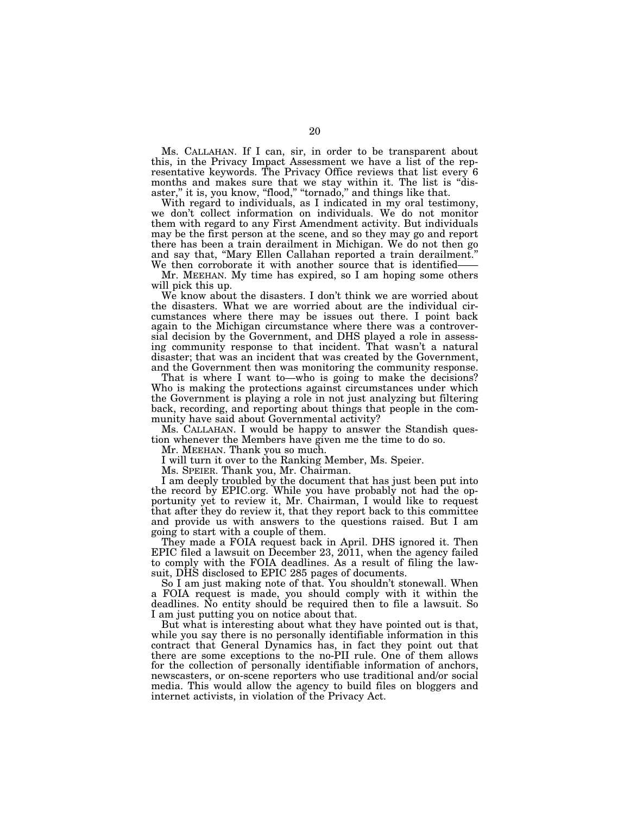Ms. CALLAHAN. If I can, sir, in order to be transparent about this, in the Privacy Impact Assessment we have a list of the representative keywords. The Privacy Office reviews that list every 6 months and makes sure that we stay within it. The list is "disaster," it is, you know, "flood," "tornado," and things like that.

With regard to individuals, as I indicated in my oral testimony, we don't collect information on individuals. We do not monitor them with regard to any First Amendment activity. But individuals may be the first person at the scene, and so they may go and report there has been a train derailment in Michigan. We do not then go and say that, ''Mary Ellen Callahan reported a train derailment.'' We then corroborate it with another source that is identified-

Mr. MEEHAN. My time has expired, so I am hoping some others will pick this up.

We know about the disasters. I don't think we are worried about the disasters. What we are worried about are the individual circumstances where there may be issues out there. I point back again to the Michigan circumstance where there was a controversial decision by the Government, and DHS played a role in assessing community response to that incident. That wasn't a natural disaster; that was an incident that was created by the Government, and the Government then was monitoring the community response.

That is where I want to—who is going to make the decisions? Who is making the protections against circumstances under which the Government is playing a role in not just analyzing but filtering back, recording, and reporting about things that people in the community have said about Governmental activity?

Ms. CALLAHAN. I would be happy to answer the Standish question whenever the Members have given me the time to do so.

Mr. MEEHAN. Thank you so much.

I will turn it over to the Ranking Member, Ms. Speier.

Ms. SPEIER. Thank you, Mr. Chairman.

I am deeply troubled by the document that has just been put into the record by EPIC.org. While you have probably not had the opportunity yet to review it, Mr. Chairman, I would like to request that after they do review it, that they report back to this committee and provide us with answers to the questions raised. But I am going to start with a couple of them.

They made a FOIA request back in April. DHS ignored it. Then EPIC filed a lawsuit on December 23, 2011, when the agency failed to comply with the FOIA deadlines. As a result of filing the lawsuit, DHS disclosed to EPIC 285 pages of documents.

So I am just making note of that. You shouldn't stonewall. When a FOIA request is made, you should comply with it within the deadlines. No entity should be required then to file a lawsuit. So I am just putting you on notice about that.

But what is interesting about what they have pointed out is that, while you say there is no personally identifiable information in this contract that General Dynamics has, in fact they point out that there are some exceptions to the no-PII rule. One of them allows for the collection of personally identifiable information of anchors, newscasters, or on-scene reporters who use traditional and/or social media. This would allow the agency to build files on bloggers and internet activists, in violation of the Privacy Act.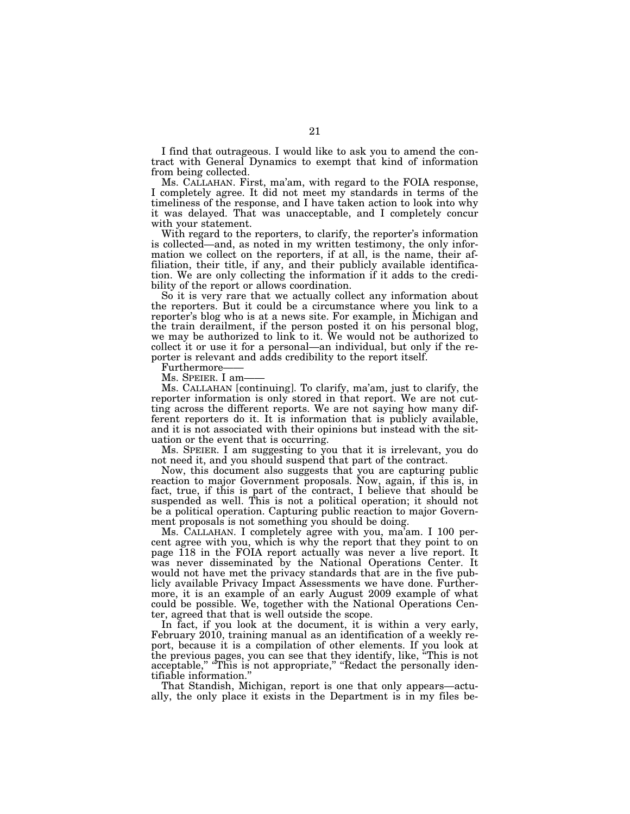I find that outrageous. I would like to ask you to amend the contract with General Dynamics to exempt that kind of information from being collected.

Ms. CALLAHAN. First, ma'am, with regard to the FOIA response, I completely agree. It did not meet my standards in terms of the timeliness of the response, and I have taken action to look into why it was delayed. That was unacceptable, and I completely concur with your statement.

With regard to the reporters, to clarify, the reporter's information is collected—and, as noted in my written testimony, the only information we collect on the reporters, if at all, is the name, their affiliation, their title, if any, and their publicly available identification. We are only collecting the information if it adds to the credibility of the report or allows coordination.

So it is very rare that we actually collect any information about the reporters. But it could be a circumstance where you link to a reporter's blog who is at a news site. For example, in Michigan and the train derailment, if the person posted it on his personal blog, we may be authorized to link to it. We would not be authorized to collect it or use it for a personal—an individual, but only if the reporter is relevant and adds credibility to the report itself.

Furthermore-

Ms. SPEIER. I am-

Ms. CALLAHAN [continuing]. To clarify, ma'am, just to clarify, the reporter information is only stored in that report. We are not cutting across the different reports. We are not saying how many different reporters do it. It is information that is publicly available, and it is not associated with their opinions but instead with the situation or the event that is occurring.

Ms. SPEIER. I am suggesting to you that it is irrelevant, you do not need it, and you should suspend that part of the contract.

Now, this document also suggests that you are capturing public reaction to major Government proposals. Now, again, if this is, in fact, true, if this is part of the contract, I believe that should be suspended as well. This is not a political operation; it should not be a political operation. Capturing public reaction to major Government proposals is not something you should be doing.

Ms. CALLAHAN. I completely agree with you, ma'am. I 100 percent agree with you, which is why the report that they point to on page 118 in the FOIA report actually was never a live report. It was never disseminated by the National Operations Center. It would not have met the privacy standards that are in the five publicly available Privacy Impact Assessments we have done. Furthermore, it is an example of an early August 2009 example of what could be possible. We, together with the National Operations Center, agreed that that is well outside the scope.

In fact, if you look at the document, it is within a very early, February 2010, training manual as an identification of a weekly report, because it is a compilation of other elements. If you look at the previous pages, you can see that they identify, like, ''This is not acceptable," "This is not appropriate," "Redact the personally identifiable information.''

That Standish, Michigan, report is one that only appears—actually, the only place it exists in the Department is in my files be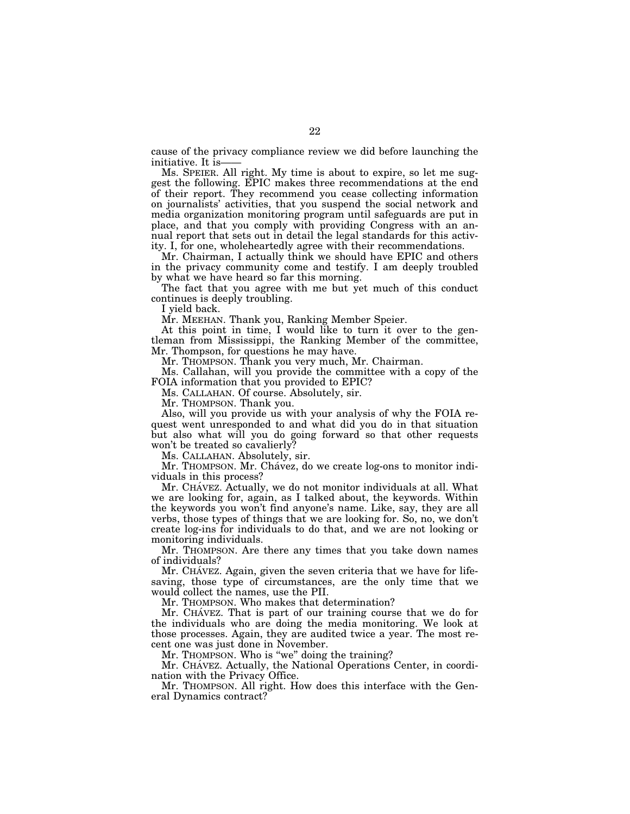cause of the privacy compliance review we did before launching the initiative. It is

Ms. SPEIER. All right. My time is about to expire, so let me suggest the following. EPIC makes three recommendations at the end of their report. They recommend you cease collecting information on journalists' activities, that you suspend the social network and media organization monitoring program until safeguards are put in place, and that you comply with providing Congress with an annual report that sets out in detail the legal standards for this activity. I, for one, wholeheartedly agree with their recommendations.

Mr. Chairman, I actually think we should have EPIC and others in the privacy community come and testify. I am deeply troubled by what we have heard so far this morning.

The fact that you agree with me but yet much of this conduct continues is deeply troubling.

I yield back.

Mr. MEEHAN. Thank you, Ranking Member Speier.

At this point in time, I would like to turn it over to the gentleman from Mississippi, the Ranking Member of the committee, Mr. Thompson, for questions he may have.

Mr. THOMPSON. Thank you very much, Mr. Chairman.

Ms. Callahan, will you provide the committee with a copy of the FOIA information that you provided to EPIC?

Ms. CALLAHAN. Of course. Absolutely, sir.

Mr. THOMPSON. Thank you.

Also, will you provide us with your analysis of why the FOIA request went unresponded to and what did you do in that situation but also what will you do going forward so that other requests won't be treated so cavalierly?

Ms. CALLAHAN. Absolutely, sir.

Mr. THOMPSON. Mr. Chávez, do we create log-ons to monitor individuals in this process?

Mr. CHÁVEZ. Actually, we do not monitor individuals at all. What we are looking for, again, as I talked about, the keywords. Within the keywords you won't find anyone's name. Like, say, they are all verbs, those types of things that we are looking for. So, no, we don't create log-ins for individuals to do that, and we are not looking or monitoring individuals.

Mr. THOMPSON. Are there any times that you take down names of individuals?

Mr. CHAVEZ. Again, given the seven criteria that we have for lifesaving, those type of circumstances, are the only time that we would collect the names, use the PII.

Mr. THOMPSON. Who makes that determination?

Mr. CHÁVEZ. That is part of our training course that we do for the individuals who are doing the media monitoring. We look at those processes. Again, they are audited twice a year. The most recent one was just done in November.

Mr. THOMPSON. Who is "we" doing the training?

Mr. CHÁVEZ. Actually, the National Operations Center, in coordination with the Privacy Office.

Mr. THOMPSON. All right. How does this interface with the General Dynamics contract?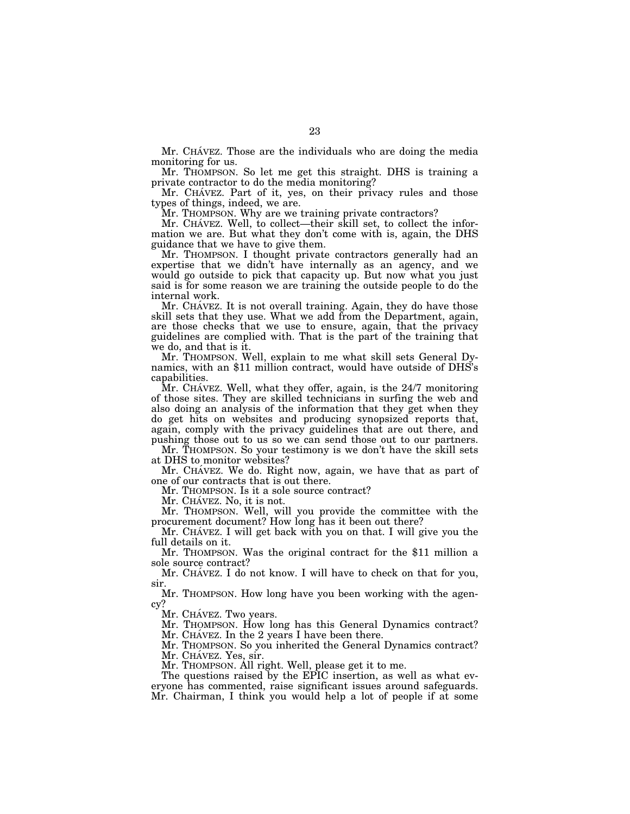Mr. CHAVEZ. Those are the individuals who are doing the media monitoring for us.

Mr. THOMPSON. So let me get this straight. DHS is training a private contractor to do the media monitoring?

Mr. CHÁVEZ. Part of it, yes, on their privacy rules and those types of things, indeed, we are.

Mr. THOMPSON. Why are we training private contractors?

Mr. CHAVEZ. Well, to collect—their skill set, to collect the information we are. But what they don't come with is, again, the DHS guidance that we have to give them.

Mr. THOMPSON. I thought private contractors generally had an expertise that we didn't have internally as an agency, and we would go outside to pick that capacity up. But now what you just said is for some reason we are training the outside people to do the internal work.

Mr. CHAVEZ. It is not overall training. Again, they do have those skill sets that they use. What we add from the Department, again, are those checks that we use to ensure, again, that the privacy guidelines are complied with. That is the part of the training that we do, and that is it.<br>Mr. Thompson. Well, explain to me what skill sets General Dy-

namics, with an \$11 million contract, would have outside of DHS's capabilities.

Mr. CHÁVEZ. Well, what they offer, again, is the 24/7 monitoring of those sites. They are skilled technicians in surfing the web and also doing an analysis of the information that they get when they do get hits on websites and producing synopsized reports that, again, comply with the privacy guidelines that are out there, and pushing those out to us so we can send those out to our partners.

Mr. THOMPSON. So your testimony is we don't have the skill sets at DHS to monitor websites?

Mr. CHÁVEZ. We do. Right now, again, we have that as part of one of our contracts that is out there.

Mr. THOMPSON. Is it a sole source contract?

Mr. CHÁVEZ. No, it is not.

Mr. THOMPSON. Well, will you provide the committee with the procurement document? How long has it been out there?

Mr. CHA´VEZ. I will get back with you on that. I will give you the full details on it.

Mr. THOMPSON. Was the original contract for the \$11 million a sole source contract?

Mr. CHÁVEZ. I do not know. I will have to check on that for you, sir.

Mr. THOMPSON. How long have you been working with the agency?

Mr. CHÁVEZ. Two years.

Mr. THOMPSON. How long has this General Dynamics contract? Mr. CHÁVEZ. In the 2 years I have been there.

Mr. THOMPSON. So you inherited the General Dynamics contract? Mr. CHÁVEZ. Yes, sir.

Mr. THOMPSON. All right. Well, please get it to me.

The questions raised by the EPIC insertion, as well as what everyone has commented, raise significant issues around safeguards. Mr. Chairman, I think you would help a lot of people if at some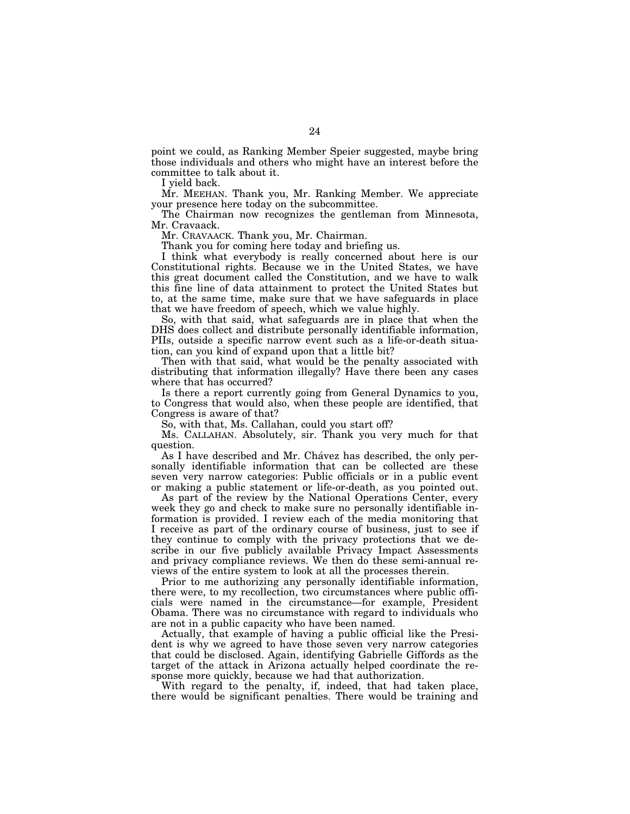point we could, as Ranking Member Speier suggested, maybe bring those individuals and others who might have an interest before the committee to talk about it.

I yield back.

Mr. MEEHAN. Thank you, Mr. Ranking Member. We appreciate your presence here today on the subcommittee.

The Chairman now recognizes the gentleman from Minnesota, Mr. Cravaack.

Mr. CRAVAACK. Thank you, Mr. Chairman.

Thank you for coming here today and briefing us.

I think what everybody is really concerned about here is our Constitutional rights. Because we in the United States, we have this great document called the Constitution, and we have to walk this fine line of data attainment to protect the United States but to, at the same time, make sure that we have safeguards in place that we have freedom of speech, which we value highly.

So, with that said, what safeguards are in place that when the DHS does collect and distribute personally identifiable information, PIIs, outside a specific narrow event such as a life-or-death situation, can you kind of expand upon that a little bit?

Then with that said, what would be the penalty associated with distributing that information illegally? Have there been any cases where that has occurred?

Is there a report currently going from General Dynamics to you, to Congress that would also, when these people are identified, that Congress is aware of that?

So, with that, Ms. Callahan, could you start off?

Ms. CALLAHAN. Absolutely, sir. Thank you very much for that question.

As I have described and Mr. Chavez has described, the only personally identifiable information that can be collected are these seven very narrow categories: Public officials or in a public event or making a public statement or life-or-death, as you pointed out.

As part of the review by the National Operations Center, every week they go and check to make sure no personally identifiable information is provided. I review each of the media monitoring that I receive as part of the ordinary course of business, just to see if they continue to comply with the privacy protections that we describe in our five publicly available Privacy Impact Assessments and privacy compliance reviews. We then do these semi-annual reviews of the entire system to look at all the processes therein.

Prior to me authorizing any personally identifiable information, there were, to my recollection, two circumstances where public officials were named in the circumstance—for example, President Obama. There was no circumstance with regard to individuals who are not in a public capacity who have been named.

Actually, that example of having a public official like the President is why we agreed to have those seven very narrow categories that could be disclosed. Again, identifying Gabrielle Giffords as the target of the attack in Arizona actually helped coordinate the response more quickly, because we had that authorization.

With regard to the penalty, if, indeed, that had taken place, there would be significant penalties. There would be training and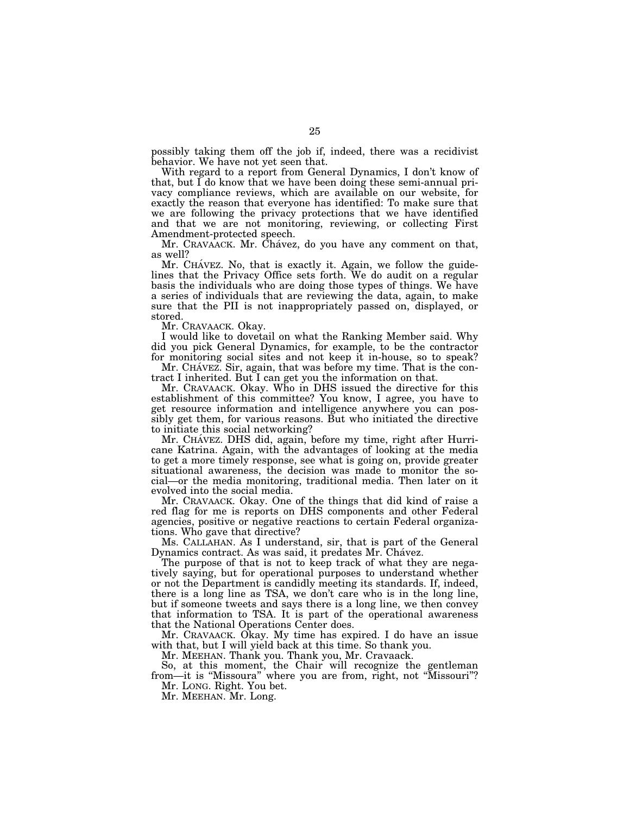possibly taking them off the job if, indeed, there was a recidivist behavior. We have not yet seen that.

With regard to a report from General Dynamics, I don't know of that, but  $\overline{I}$  do know that we have been doing these semi-annual privacy compliance reviews, which are available on our website, for exactly the reason that everyone has identified: To make sure that we are following the privacy protections that we have identified and that we are not monitoring, reviewing, or collecting First Amendment-protected speech.

Mr. CRAVAACK. Mr. Chávez, do you have any comment on that, as well?

Mr. CHÁVEZ. No, that is exactly it. Again, we follow the guidelines that the Privacy Office sets forth. We do audit on a regular basis the individuals who are doing those types of things. We have a series of individuals that are reviewing the data, again, to make sure that the PII is not inappropriately passed on, displayed, or stored.

Mr. CRAVAACK. Okay.

I would like to dovetail on what the Ranking Member said. Why did you pick General Dynamics, for example, to be the contractor for monitoring social sites and not keep it in-house, so to speak?

Mr. CHÁVEZ. Sir, again, that was before my time. That is the contract I inherited. But I can get you the information on that.

Mr. CRAVAACK. Okay. Who in DHS issued the directive for this establishment of this committee? You know, I agree, you have to get resource information and intelligence anywhere you can possibly get them, for various reasons. But who initiated the directive to initiate this social networking?

Mr. CHÁVEZ. DHS did, again, before my time, right after Hurricane Katrina. Again, with the advantages of looking at the media to get a more timely response, see what is going on, provide greater situational awareness, the decision was made to monitor the social—or the media monitoring, traditional media. Then later on it evolved into the social media.

Mr. CRAVAACK. Okay. One of the things that did kind of raise a red flag for me is reports on DHS components and other Federal agencies, positive or negative reactions to certain Federal organizations. Who gave that directive?

Ms. CALLAHAN. As I understand, sir, that is part of the General Dynamics contract. As was said, it predates Mr. Chávez.

The purpose of that is not to keep track of what they are negatively saying, but for operational purposes to understand whether or not the Department is candidly meeting its standards. If, indeed, there is a long line as TSA, we don't care who is in the long line, but if someone tweets and says there is a long line, we then convey that information to TSA. It is part of the operational awareness that the National Operations Center does.

Mr. CRAVAACK. Okay. My time has expired. I do have an issue with that, but I will yield back at this time. So thank you.

Mr. MEEHAN. Thank you. Thank you, Mr. Cravaack.

So, at this moment, the Chair will recognize the gentleman from—it is "Missoura" where you are from, right, not "Missouri"? Mr. LONG. Right. You bet.

Mr. MEEHAN. Mr. Long.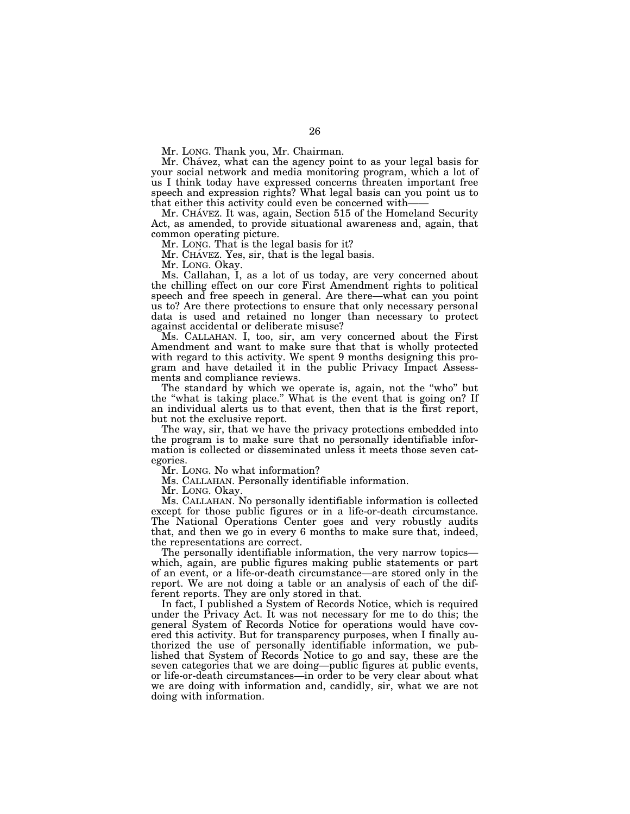Mr. LONG. Thank you, Mr. Chairman.

Mr. Chávez, what can the agency point to as your legal basis for your social network and media monitoring program, which a lot of us I think today have expressed concerns threaten important free speech and expression rights? What legal basis can you point us to that either this activity could even be concerned with-

Mr. CHAVEZ. It was, again, Section 515 of the Homeland Security Act, as amended, to provide situational awareness and, again, that common operating picture.

Mr. LONG. That is the legal basis for it?

Mr. CHÁVEZ. Yes, sir, that is the legal basis.

Mr. LONG. Okay.

Ms. Callahan, I, as a lot of us today, are very concerned about the chilling effect on our core First Amendment rights to political speech and free speech in general. Are there—what can you point us to? Are there protections to ensure that only necessary personal data is used and retained no longer than necessary to protect against accidental or deliberate misuse?

Ms. CALLAHAN. I, too, sir, am very concerned about the First Amendment and want to make sure that that is wholly protected with regard to this activity. We spent 9 months designing this program and have detailed it in the public Privacy Impact Assessments and compliance reviews.

The standard by which we operate is, again, not the "who" but the ''what is taking place.'' What is the event that is going on? If an individual alerts us to that event, then that is the first report, but not the exclusive report.

The way, sir, that we have the privacy protections embedded into the program is to make sure that no personally identifiable information is collected or disseminated unless it meets those seven categories.

Mr. LONG. No what information?

Ms. CALLAHAN. Personally identifiable information.

Mr. LONG. Okay.

Ms. CALLAHAN. No personally identifiable information is collected except for those public figures or in a life-or-death circumstance. The National Operations Center goes and very robustly audits that, and then we go in every 6 months to make sure that, indeed, the representations are correct.

The personally identifiable information, the very narrow topics which, again, are public figures making public statements or part of an event, or a life-or-death circumstance—are stored only in the report. We are not doing a table or an analysis of each of the different reports. They are only stored in that.

In fact, I published a System of Records Notice, which is required under the Privacy Act. It was not necessary for me to do this; the general System of Records Notice for operations would have covered this activity. But for transparency purposes, when I finally authorized the use of personally identifiable information, we published that System of Records Notice to go and say, these are the seven categories that we are doing—public figures at public events, or life-or-death circumstances—in order to be very clear about what we are doing with information and, candidly, sir, what we are not doing with information.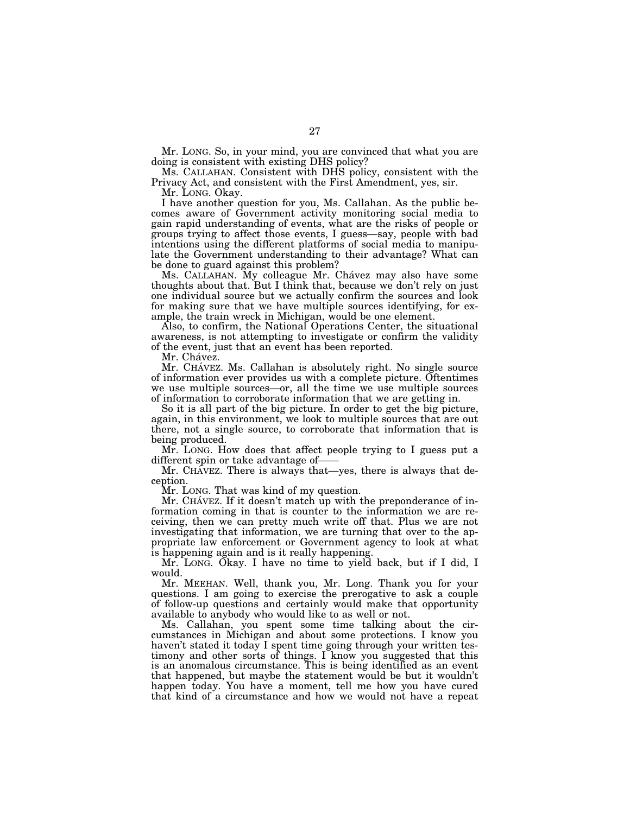Mr. LONG. So, in your mind, you are convinced that what you are doing is consistent with existing DHS policy?

Ms. CALLAHAN. Consistent with DHS policy, consistent with the Privacy Act, and consistent with the First Amendment, yes, sir.

Mr. LONG. Okay.

I have another question for you, Ms. Callahan. As the public becomes aware of Government activity monitoring social media to gain rapid understanding of events, what are the risks of people or groups trying to affect those events, I guess—say, people with bad intentions using the different platforms of social media to manipulate the Government understanding to their advantage? What can be done to guard against this problem?

Ms. CALLAHAN. My colleague Mr. Cha´vez may also have some thoughts about that. But I think that, because we don't rely on just one individual source but we actually confirm the sources and look for making sure that we have multiple sources identifying, for example, the train wreck in Michigan, would be one element.

Also, to confirm, the National Operations Center, the situational awareness, is not attempting to investigate or confirm the validity of the event, just that an event has been reported.

Mr. Chávez.

Mr. CHÁVEZ. Ms. Callahan is absolutely right. No single source of information ever provides us with a complete picture. Oftentimes we use multiple sources—or, all the time we use multiple sources of information to corroborate information that we are getting in.

So it is all part of the big picture. In order to get the big picture, again, in this environment, we look to multiple sources that are out there, not a single source, to corroborate that information that is being produced.

Mr. LONG. How does that affect people trying to I guess put a different spin or take advantage of-

Mr. CHAVEZ. There is always that—yes, there is always that deception.

Mr. LONG. That was kind of my question.

Mr. CHAVEZ. If it doesn't match up with the preponderance of information coming in that is counter to the information we are receiving, then we can pretty much write off that. Plus we are not investigating that information, we are turning that over to the appropriate law enforcement or Government agency to look at what is happening again and is it really happening.

Mr. LONG. Okay. I have no time to yield back, but if I did, I would.

Mr. MEEHAN. Well, thank you, Mr. Long. Thank you for your questions. I am going to exercise the prerogative to ask a couple of follow-up questions and certainly would make that opportunity available to anybody who would like to as well or not.

Ms. Callahan, you spent some time talking about the circumstances in Michigan and about some protections. I know you haven't stated it today I spent time going through your written testimony and other sorts of things. I know you suggested that this is an anomalous circumstance. This is being identified as an event that happened, but maybe the statement would be but it wouldn't happen today. You have a moment, tell me how you have cured that kind of a circumstance and how we would not have a repeat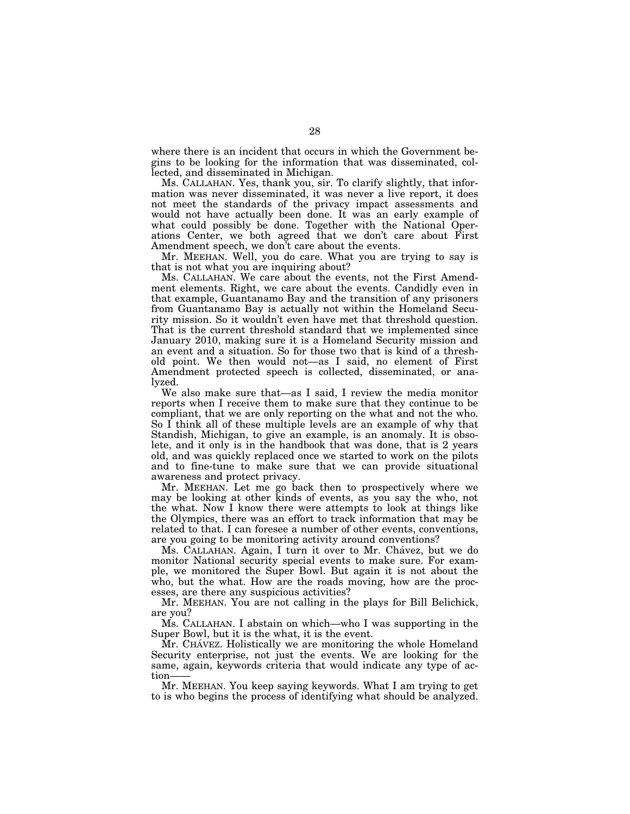where there is an incident that occurs in which the Government begins to be looking for the information that was disseminated, collected, and disseminated in Michigan.

Ms. CALLAHAN. Yes, thank you, sir. To clarify slightly, that information was never disseminated, it was never a live report, it does not meet the standards of the privacy impact assessments and would not have actually been done. It was an early example of what could possibly be done. Together with the National Operations Center, we both agreed that we don't care about First Amendment speech, we don't care about the events.

Mr. MEEHAN. Well, you do care. What you are trying to say is that is not what you are inquiring about?

Ms. CALLAHAN. We care about the events, not the First Amendment elements. Right, we care about the events. Candidly even in that example, Guantanamo Bay and the transition of any prisoners from Guantanamo Bay is actually not within the Homeland Security mission. So it wouldn't even have met that threshold question. That is the current threshold standard that we implemented since January 2010, making sure it is a Homeland Security mission and an event and a situation. So for those two that is kind of a threshold point. We then would not—as I said, no element of First Amendment protected speech is collected, disseminated, or analyzed.

We also make sure that—as I said, I review the media monitor reports when I receive them to make sure that they continue to be compliant, that we are only reporting on the what and not the who. So I think all of these multiple levels are an example of why that Standish, Michigan, to give an example, is an anomaly. It is obsolete, and it only is in the handbook that was done, that is 2 years old, and was quickly replaced once we started to work on the pilots and to fine-tune to make sure that we can provide situational awareness and protect privacy.

Mr. MEEHAN. Let me go back then to prospectively where we may be looking at other kinds of events, as you say the who, not the what. Now I know there were attempts to look at things like the Olympics, there was an effort to track information that may be related to that. I can foresee a number of other events, conventions, are you going to be monitoring activity around conventions?

Ms. CALLAHAN. Again, I turn it over to Mr. Cha´vez, but we do monitor National security special events to make sure. For example, we monitored the Super Bowl. But again it is not about the who, but the what. How are the roads moving, how are the processes, are there any suspicious activities?

Mr. MEEHAN. You are not calling in the plays for Bill Belichick, are you?

Ms. CALLAHAN. I abstain on which—who I was supporting in the Super Bowl, but it is the what, it is the event.

Mr. CHÁVEZ. Holistically we are monitoring the whole Homeland Security enterprise, not just the events. We are looking for the same, again, keywords criteria that would indicate any type of action

Mr. MEEHAN. You keep saying keywords. What I am trying to get to is who begins the process of identifying what should be analyzed.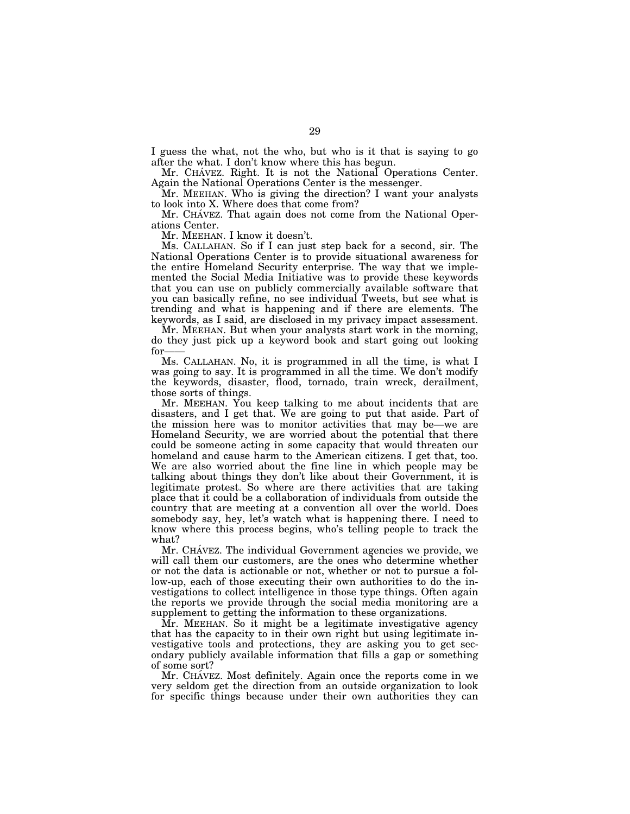I guess the what, not the who, but who is it that is saying to go after the what. I don't know where this has begun.

Mr. CHAVEZ. Right. It is not the National Operations Center. Again the National Operations Center is the messenger.

Mr. MEEHAN. Who is giving the direction? I want your analysts to look into X. Where does that come from?

Mr. CHAVEZ. That again does not come from the National Operations Center.

Mr. MEEHAN. I know it doesn't.

Ms. CALLAHAN. So if I can just step back for a second, sir. The National Operations Center is to provide situational awareness for the entire Homeland Security enterprise. The way that we implemented the Social Media Initiative was to provide these keywords that you can use on publicly commercially available software that you can basically refine, no see individual Tweets, but see what is trending and what is happening and if there are elements. The keywords, as I said, are disclosed in my privacy impact assessment.

Mr. MEEHAN. But when your analysts start work in the morning, do they just pick up a keyword book and start going out looking for-

Ms. CALLAHAN. No, it is programmed in all the time, is what I was going to say. It is programmed in all the time. We don't modify the keywords, disaster, flood, tornado, train wreck, derailment, those sorts of things.

Mr. MEEHAN. You keep talking to me about incidents that are disasters, and I get that. We are going to put that aside. Part of the mission here was to monitor activities that may be—we are Homeland Security, we are worried about the potential that there could be someone acting in some capacity that would threaten our homeland and cause harm to the American citizens. I get that, too. We are also worried about the fine line in which people may be talking about things they don't like about their Government, it is legitimate protest. So where are there activities that are taking place that it could be a collaboration of individuals from outside the country that are meeting at a convention all over the world. Does somebody say, hey, let's watch what is happening there. I need to know where this process begins, who's telling people to track the what?

Mr. CHAVEZ. The individual Government agencies we provide, we will call them our customers, are the ones who determine whether or not the data is actionable or not, whether or not to pursue a follow-up, each of those executing their own authorities to do the investigations to collect intelligence in those type things. Often again the reports we provide through the social media monitoring are a supplement to getting the information to these organizations.

Mr. MEEHAN. So it might be a legitimate investigative agency that has the capacity to in their own right but using legitimate investigative tools and protections, they are asking you to get secondary publicly available information that fills a gap or something of some sort?

Mr. CHAVEZ. Most definitely. Again once the reports come in we very seldom get the direction from an outside organization to look for specific things because under their own authorities they can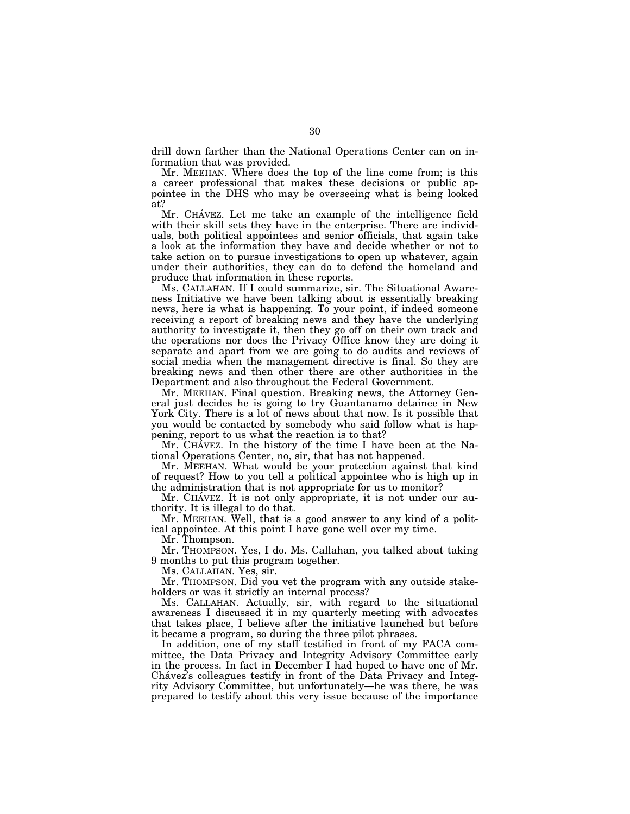drill down farther than the National Operations Center can on information that was provided.

Mr. MEEHAN. Where does the top of the line come from; is this a career professional that makes these decisions or public appointee in the DHS who may be overseeing what is being looked at?

Mr. CHAVEZ. Let me take an example of the intelligence field with their skill sets they have in the enterprise. There are individuals, both political appointees and senior officials, that again take a look at the information they have and decide whether or not to take action on to pursue investigations to open up whatever, again under their authorities, they can do to defend the homeland and produce that information in these reports.

Ms. CALLAHAN. If I could summarize, sir. The Situational Awareness Initiative we have been talking about is essentially breaking news, here is what is happening. To your point, if indeed someone receiving a report of breaking news and they have the underlying authority to investigate it, then they go off on their own track and the operations nor does the Privacy Office know they are doing it separate and apart from we are going to do audits and reviews of social media when the management directive is final. So they are breaking news and then other there are other authorities in the Department and also throughout the Federal Government.

Mr. MEEHAN. Final question. Breaking news, the Attorney General just decides he is going to try Guantanamo detainee in New York City. There is a lot of news about that now. Is it possible that you would be contacted by somebody who said follow what is happening, report to us what the reaction is to that?

Mr. CHAVEZ. In the history of the time I have been at the National Operations Center, no, sir, that has not happened.

Mr. MEEHAN. What would be your protection against that kind of request? How to you tell a political appointee who is high up in the administration that is not appropriate for us to monitor?

Mr. CHÁVEZ. It is not only appropriate, it is not under our authority. It is illegal to do that.

Mr. MEEHAN. Well, that is a good answer to any kind of a political appointee. At this point I have gone well over my time.

Mr. Thompson.

Mr. THOMPSON. Yes, I do. Ms. Callahan, you talked about taking 9 months to put this program together.

Ms. CALLAHAN. Yes, sir.

Mr. THOMPSON. Did you vet the program with any outside stakeholders or was it strictly an internal process?

Ms. CALLAHAN. Actually, sir, with regard to the situational awareness I discussed it in my quarterly meeting with advocates that takes place, I believe after the initiative launched but before it became a program, so during the three pilot phrases.

In addition, one of my staff testified in front of my FACA committee, the Data Privacy and Integrity Advisory Committee early in the process. In fact in December I had hoped to have one of Mr. Chávez's colleagues testify in front of the Data Privacy and Integrity Advisory Committee, but unfortunately—he was there, he was prepared to testify about this very issue because of the importance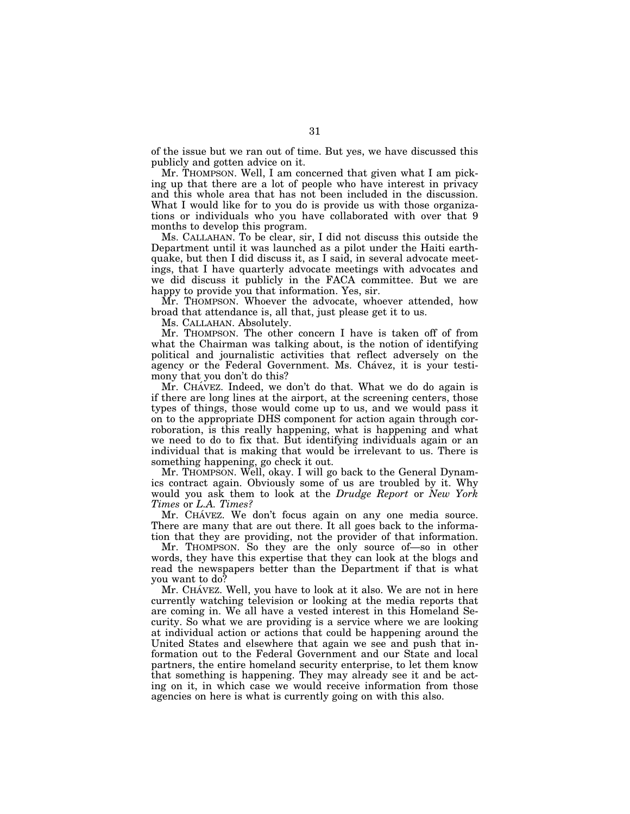of the issue but we ran out of time. But yes, we have discussed this publicly and gotten advice on it.

Mr. THOMPSON. Well, I am concerned that given what I am picking up that there are a lot of people who have interest in privacy and this whole area that has not been included in the discussion. What I would like for to you do is provide us with those organizations or individuals who you have collaborated with over that 9 months to develop this program.

Ms. CALLAHAN. To be clear, sir, I did not discuss this outside the Department until it was launched as a pilot under the Haiti earthquake, but then I did discuss it, as I said, in several advocate meetings, that I have quarterly advocate meetings with advocates and we did discuss it publicly in the FACA committee. But we are happy to provide you that information. Yes, sir.

Mr. THOMPSON. Whoever the advocate, whoever attended, how broad that attendance is, all that, just please get it to us.

Ms. CALLAHAN. Absolutely.

Mr. THOMPSON. The other concern I have is taken off of from what the Chairman was talking about, is the notion of identifying political and journalistic activities that reflect adversely on the agency or the Federal Government. Ms. Chávez, it is your testimony that you don't do this?

Mr. CHÁVEZ. Indeed, we don't do that. What we do do again is if there are long lines at the airport, at the screening centers, those types of things, those would come up to us, and we would pass it on to the appropriate DHS component for action again through corroboration, is this really happening, what is happening and what we need to do to fix that. But identifying individuals again or an individual that is making that would be irrelevant to us. There is something happening, go check it out.

Mr. THOMPSON. Well, okay. I will go back to the General Dynamics contract again. Obviously some of us are troubled by it. Why would you ask them to look at the *Drudge Report* or *New York Times* or *L.A. Times?* 

Mr. CHAVEZ. We don't focus again on any one media source. There are many that are out there. It all goes back to the information that they are providing, not the provider of that information.

Mr. THOMPSON. So they are the only source of—so in other words, they have this expertise that they can look at the blogs and read the newspapers better than the Department if that is what you want to do?

Mr. CHÁVEZ. Well, you have to look at it also. We are not in here currently watching television or looking at the media reports that are coming in. We all have a vested interest in this Homeland Security. So what we are providing is a service where we are looking at individual action or actions that could be happening around the United States and elsewhere that again we see and push that information out to the Federal Government and our State and local partners, the entire homeland security enterprise, to let them know that something is happening. They may already see it and be acting on it, in which case we would receive information from those agencies on here is what is currently going on with this also.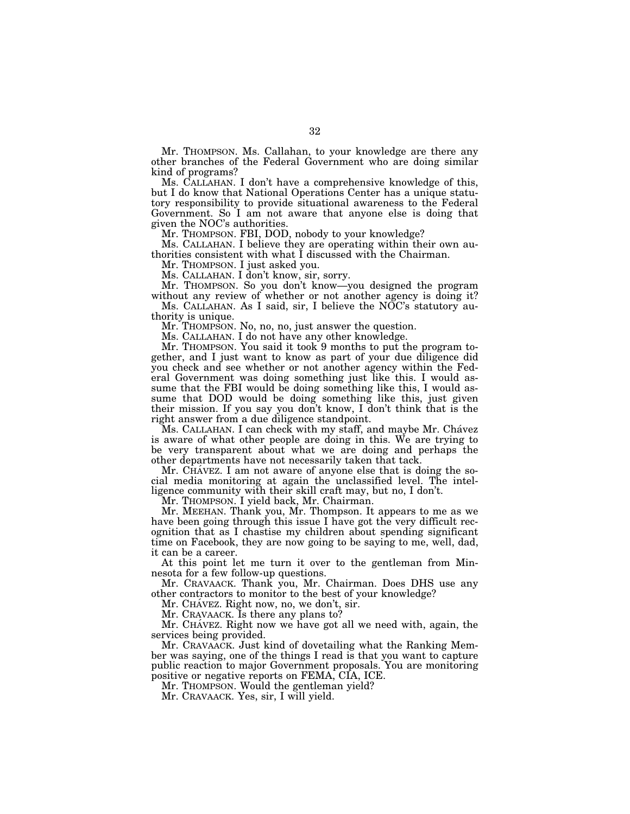Mr. THOMPSON. Ms. Callahan, to your knowledge are there any other branches of the Federal Government who are doing similar kind of programs?

Ms. CALLAHAN. I don't have a comprehensive knowledge of this, but I do know that National Operations Center has a unique statutory responsibility to provide situational awareness to the Federal Government. So I am not aware that anyone else is doing that given the NOC's authorities.

Mr. THOMPSON. FBI, DOD, nobody to your knowledge?

Ms. CALLAHAN. I believe they are operating within their own authorities consistent with what I discussed with the Chairman.

Mr. THOMPSON. I just asked you.

Ms. CALLAHAN. I don't know, sir, sorry.

Mr. THOMPSON. So you don't know—you designed the program without any review of whether or not another agency is doing it?

Ms. CALLAHAN. As I said, sir, I believe the NOC's statutory authority is unique.

Mr. THOMPSON. No, no, no, just answer the question.

Ms. CALLAHAN. I do not have any other knowledge.

Mr. THOMPSON. You said it took 9 months to put the program together, and I just want to know as part of your due diligence did you check and see whether or not another agency within the Federal Government was doing something just like this. I would assume that the FBI would be doing something like this, I would assume that DOD would be doing something like this, just given their mission. If you say you don't know, I don't think that is the right answer from a due diligence standpoint.

Ms. CALLAHAN. I can check with my staff, and maybe Mr. Chávez is aware of what other people are doing in this. We are trying to be very transparent about what we are doing and perhaps the other departments have not necessarily taken that tack.

Mr. CHAVEZ. I am not aware of anyone else that is doing the social media monitoring at again the unclassified level. The intelligence community with their skill craft may, but no, I don't.

Mr. THOMPSON. I yield back, Mr. Chairman.

Mr. MEEHAN. Thank you, Mr. Thompson. It appears to me as we have been going through this issue I have got the very difficult recognition that as I chastise my children about spending significant time on Facebook, they are now going to be saying to me, well, dad, it can be a career.

At this point let me turn it over to the gentleman from Minnesota for a few follow-up questions.

Mr. CRAVAACK. Thank you, Mr. Chairman. Does DHS use any other contractors to monitor to the best of your knowledge?

Mr. CHÁVEZ. Right now, no, we don't, sir.

Mr. CRAVAACK. Is there any plans to?

Mr. CHA´VEZ. Right now we have got all we need with, again, the services being provided.

Mr. CRAVAACK. Just kind of dovetailing what the Ranking Member was saying, one of the things I read is that you want to capture public reaction to major Government proposals. You are monitoring positive or negative reports on FEMA, CIA, ICE.

Mr. THOMPSON. Would the gentleman yield?

Mr. CRAVAACK. Yes, sir, I will yield.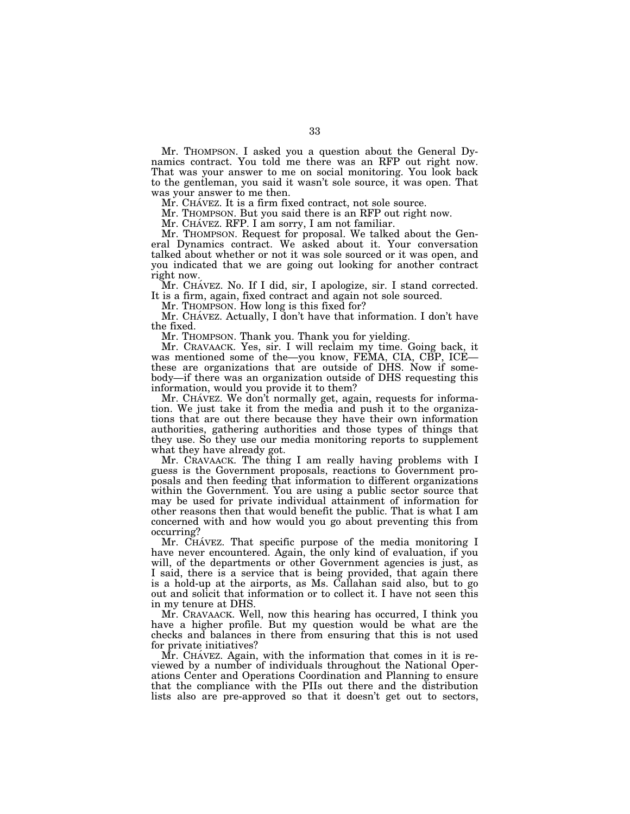Mr. THOMPSON. I asked you a question about the General Dynamics contract. You told me there was an RFP out right now. That was your answer to me on social monitoring. You look back to the gentleman, you said it wasn't sole source, it was open. That was your answer to me then.

Mr. CHAVEZ. It is a firm fixed contract, not sole source.

Mr. THOMPSON. But you said there is an RFP out right now.

Mr. CHÁVEZ. RFP. I am sorry, I am not familiar.

Mr. THOMPSON. Request for proposal. We talked about the General Dynamics contract. We asked about it. Your conversation talked about whether or not it was sole sourced or it was open, and you indicated that we are going out looking for another contract right now.

Mr. CHÁVEZ. No. If I did, sir, I apologize, sir. I stand corrected. It is a firm, again, fixed contract and again not sole sourced.

Mr. THOMPSON. How long is this fixed for?

Mr. CHAVEZ. Actually, I don't have that information. I don't have the fixed.

Mr. THOMPSON. Thank you. Thank you for yielding.

Mr. CRAVAACK. Yes, sir. I will reclaim my time. Going back, it was mentioned some of the—you know, FEMA, CIA, CBP, ICE these are organizations that are outside of DHS. Now if somebody—if there was an organization outside of DHS requesting this information, would you provide it to them?

Mr. CHAVEZ. We don't normally get, again, requests for information. We just take it from the media and push it to the organizations that are out there because they have their own information authorities, gathering authorities and those types of things that they use. So they use our media monitoring reports to supplement what they have already got.

Mr. CRAVAACK. The thing I am really having problems with I guess is the Government proposals, reactions to Government proposals and then feeding that information to different organizations within the Government. You are using a public sector source that may be used for private individual attainment of information for other reasons then that would benefit the public. That is what I am concerned with and how would you go about preventing this from occurring?

Mr. CHAVEZ. That specific purpose of the media monitoring I have never encountered. Again, the only kind of evaluation, if you will, of the departments or other Government agencies is just, as I said, there is a service that is being provided, that again there is a hold-up at the airports, as Ms. Callahan said also, but to go out and solicit that information or to collect it. I have not seen this in my tenure at DHS.

Mr. CRAVAACK. Well, now this hearing has occurred, I think you have a higher profile. But my question would be what are the checks and balances in there from ensuring that this is not used for private initiatives?

Mr. CHAVEZ. Again, with the information that comes in it is reviewed by a number of individuals throughout the National Operations Center and Operations Coordination and Planning to ensure that the compliance with the PIIs out there and the distribution lists also are pre-approved so that it doesn't get out to sectors,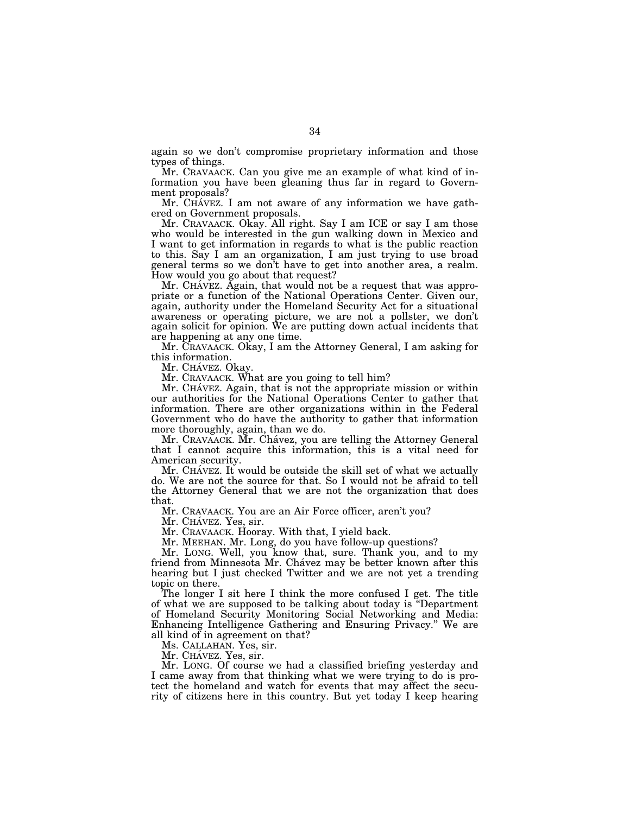again so we don't compromise proprietary information and those types of things.

Mr. CRAVAACK. Can you give me an example of what kind of information you have been gleaning thus far in regard to Government proposals?

Mr. CHAVEZ. I am not aware of any information we have gathered on Government proposals.

Mr. CRAVAACK. Okay. All right. Say I am ICE or say I am those who would be interested in the gun walking down in Mexico and I want to get information in regards to what is the public reaction to this. Say I am an organization, I am just trying to use broad general terms so we don't have to get into another area, a realm. How would you go about that request?

Mr. CHAVEZ. Again, that would not be a request that was appropriate or a function of the National Operations Center. Given our, again, authority under the Homeland Security Act for a situational awareness or operating picture, we are not a pollster, we don't again solicit for opinion. We are putting down actual incidents that are happening at any one time.

Mr. CRAVAACK. Okay, I am the Attorney General, I am asking for this information.

Mr. CHÁVEZ. Okay.

Mr. CRAVAACK. What are you going to tell him?

Mr. CHA<sup> $\overline{V}$ </sup> CHA<sup> $\overline{V}$ </sup> Example 1. That is not the appropriate mission or within our authorities for the National Operations Center to gather that information. There are other organizations within in the Federal Government who do have the authority to gather that information more thoroughly, again, than we do.

Mr. CRAVAACK. Mr. Chávez, you are telling the Attorney General that I cannot acquire this information, this is a vital need for American security.

Mr. CHAVEZ. It would be outside the skill set of what we actually do. We are not the source for that. So I would not be afraid to tell the Attorney General that we are not the organization that does that.

Mr. CRAVAACK. You are an Air Force officer, aren't you?

Mr. CHÁVEZ. Yes, sir.

Mr. CRAVAACK. Hooray. With that, I yield back.

Mr. MEEHAN. Mr. Long, do you have follow-up questions?

Mr. LONG. Well, you know that, sure. Thank you, and to my friend from Minnesota Mr. Chávez may be better known after this hearing but I just checked Twitter and we are not yet a trending topic on there.

The longer I sit here I think the more confused I get. The title of what we are supposed to be talking about today is ''Department of Homeland Security Monitoring Social Networking and Media: Enhancing Intelligence Gathering and Ensuring Privacy.'' We are all kind of in agreement on that?

Ms. CALLAHAN. Yes, sir.

Mr. CHÁVEZ. Yes, sir.

Mr. LONG. Of course we had a classified briefing yesterday and I came away from that thinking what we were trying to do is protect the homeland and watch for events that may affect the security of citizens here in this country. But yet today I keep hearing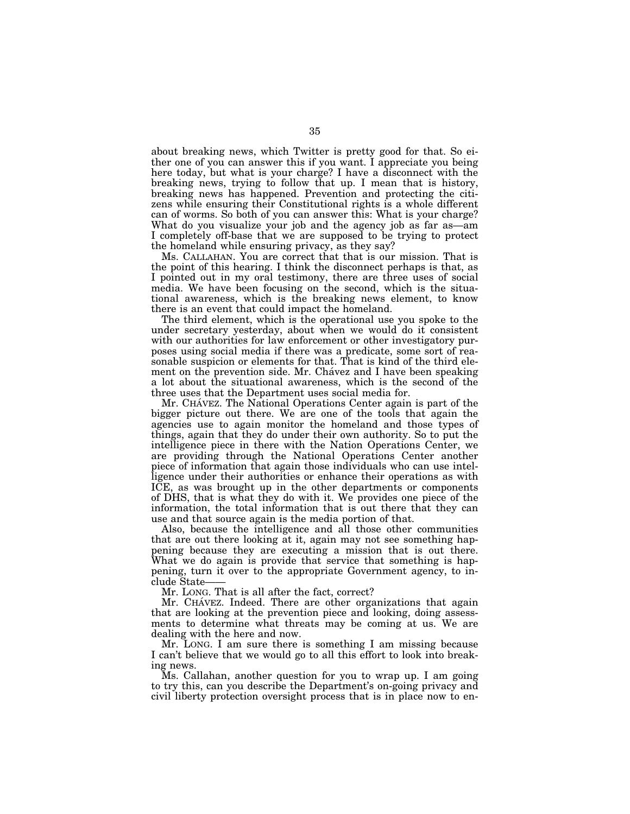about breaking news, which Twitter is pretty good for that. So either one of you can answer this if you want. I appreciate you being here today, but what is your charge? I have a disconnect with the breaking news, trying to follow that up. I mean that is history, breaking news has happened. Prevention and protecting the citizens while ensuring their Constitutional rights is a whole different can of worms. So both of you can answer this: What is your charge? What do you visualize your job and the agency job as far as—am I completely off-base that we are supposed to be trying to protect the homeland while ensuring privacy, as they say?

Ms. CALLAHAN. You are correct that that is our mission. That is the point of this hearing. I think the disconnect perhaps is that, as I pointed out in my oral testimony, there are three uses of social media. We have been focusing on the second, which is the situational awareness, which is the breaking news element, to know there is an event that could impact the homeland.

The third element, which is the operational use you spoke to the under secretary yesterday, about when we would do it consistent with our authorities for law enforcement or other investigatory purposes using social media if there was a predicate, some sort of reasonable suspicion or elements for that. That is kind of the third element on the prevention side. Mr. Chávez and I have been speaking a lot about the situational awareness, which is the second of the three uses that the Department uses social media for.

Mr. CHAVEZ. The National Operations Center again is part of the bigger picture out there. We are one of the tools that again the agencies use to again monitor the homeland and those types of things, again that they do under their own authority. So to put the intelligence piece in there with the Nation Operations Center, we are providing through the National Operations Center another piece of information that again those individuals who can use intelligence under their authorities or enhance their operations as with ICE, as was brought up in the other departments or components of DHS, that is what they do with it. We provides one piece of the information, the total information that is out there that they can use and that source again is the media portion of that.

Also, because the intelligence and all those other communities that are out there looking at it, again may not see something happening because they are executing a mission that is out there. What we do again is provide that service that something is happening, turn it over to the appropriate Government agency, to include State-

Mr. LONG. That is all after the fact, correct?

Mr. CHAVEZ. Indeed. There are other organizations that again that are looking at the prevention piece and looking, doing assessments to determine what threats may be coming at us. We are dealing with the here and now.

Mr. LONG. I am sure there is something I am missing because I can't believe that we would go to all this effort to look into breaking news.

Ms. Callahan, another question for you to wrap up. I am going to try this, can you describe the Department's on-going privacy and civil liberty protection oversight process that is in place now to en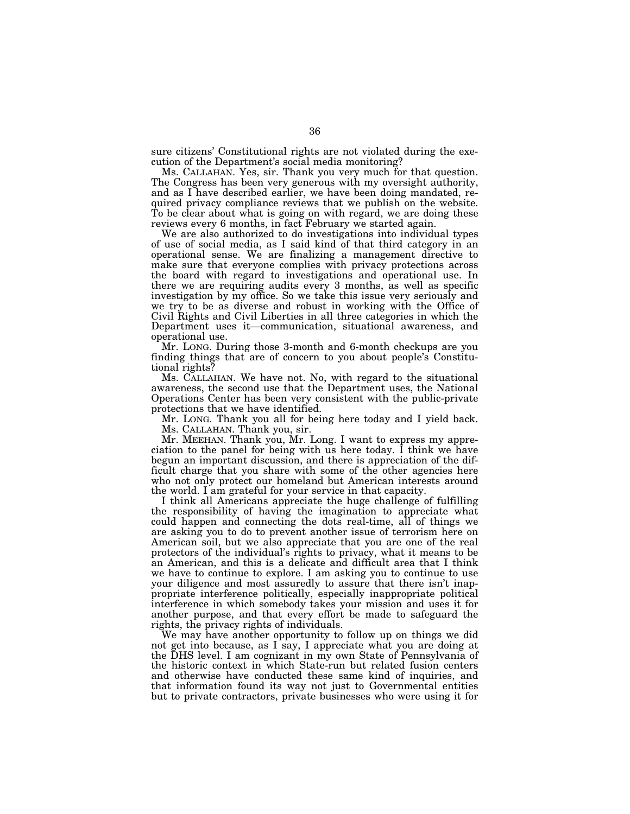sure citizens' Constitutional rights are not violated during the execution of the Department's social media monitoring?

Ms. CALLAHAN. Yes, sir. Thank you very much for that question. The Congress has been very generous with my oversight authority, and as I have described earlier, we have been doing mandated, required privacy compliance reviews that we publish on the website. To be clear about what is going on with regard, we are doing these reviews every 6 months, in fact February we started again.

We are also authorized to do investigations into individual types of use of social media, as I said kind of that third category in an operational sense. We are finalizing a management directive to make sure that everyone complies with privacy protections across the board with regard to investigations and operational use. In there we are requiring audits every 3 months, as well as specific investigation by my office. So we take this issue very seriously and we try to be as diverse and robust in working with the Office of Civil Rights and Civil Liberties in all three categories in which the Department uses it—communication, situational awareness, and operational use.

Mr. LONG. During those 3-month and 6-month checkups are you finding things that are of concern to you about people's Constitutional rights?

Ms. CALLAHAN. We have not. No, with regard to the situational awareness, the second use that the Department uses, the National Operations Center has been very consistent with the public-private protections that we have identified.

Mr. LONG. Thank you all for being here today and I yield back. Ms. CALLAHAN. Thank you, sir.

Mr. MEEHAN. Thank you, Mr. Long. I want to express my appreciation to the panel for being with us here today. I think we have begun an important discussion, and there is appreciation of the difficult charge that you share with some of the other agencies here who not only protect our homeland but American interests around the world. I am grateful for your service in that capacity.

I think all Americans appreciate the huge challenge of fulfilling the responsibility of having the imagination to appreciate what could happen and connecting the dots real-time, all of things we are asking you to do to prevent another issue of terrorism here on American soil, but we also appreciate that you are one of the real protectors of the individual's rights to privacy, what it means to be an American, and this is a delicate and difficult area that I think we have to continue to explore. I am asking you to continue to use your diligence and most assuredly to assure that there isn't inappropriate interference politically, especially inappropriate political interference in which somebody takes your mission and uses it for another purpose, and that every effort be made to safeguard the rights, the privacy rights of individuals.

We may have another opportunity to follow up on things we did not get into because, as I say, I appreciate what you are doing at the DHS level. I am cognizant in my own State of Pennsylvania of the historic context in which State-run but related fusion centers and otherwise have conducted these same kind of inquiries, and that information found its way not just to Governmental entities but to private contractors, private businesses who were using it for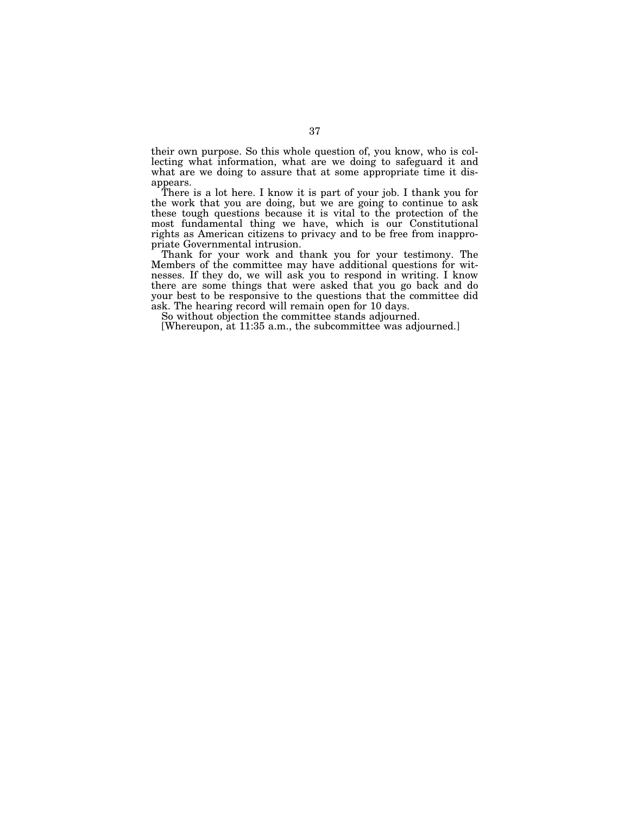their own purpose. So this whole question of, you know, who is collecting what information, what are we doing to safeguard it and what are we doing to assure that at some appropriate time it disappears.

There is a lot here. I know it is part of your job. I thank you for the work that you are doing, but we are going to continue to ask these tough questions because it is vital to the protection of the most fundamental thing we have, which is our Constitutional rights as American citizens to privacy and to be free from inappropriate Governmental intrusion.

Thank for your work and thank you for your testimony. The Members of the committee may have additional questions for witnesses. If they do, we will ask you to respond in writing. I know there are some things that were asked that you go back and do your best to be responsive to the questions that the committee did ask. The hearing record will remain open for 10 days.

So without objection the committee stands adjourned.

[Whereupon, at 11:35 a.m., the subcommittee was adjourned.]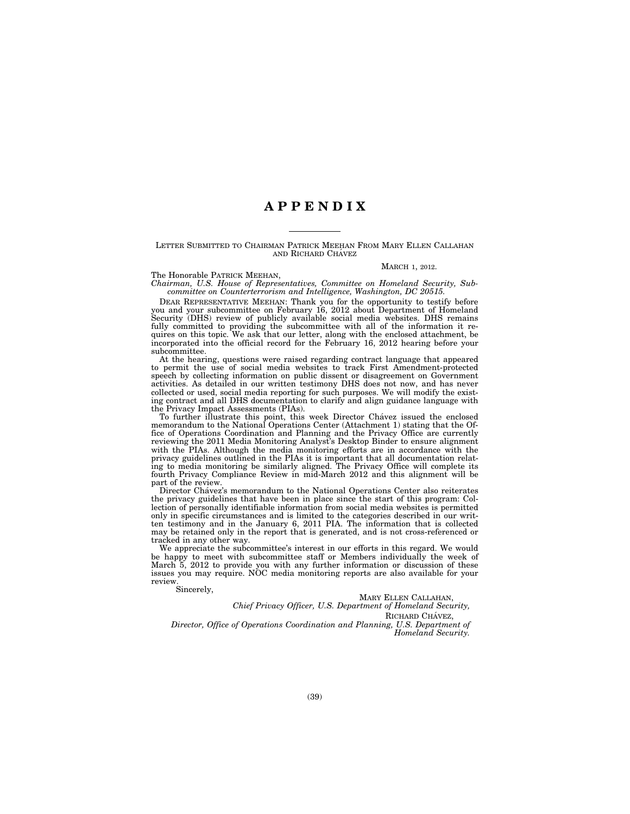## **A P P E N D I X**

LETTER SUBMITTED TO CHAIRMAN PATRICK MEEHAN FROM MARY ELLEN CALLAHAN AND RICHARD CHÁVEZ

The Honorable PATRICK MEEHAN,

#### MARCH 1, 2012.

*Chairman, U.S. House of Representatives, Committee on Homeland Security, Subcommittee on Counterterrorism and Intelligence, Washington, DC 20515.* 

DEAR REPRESENTATIVE MEEHAN: Thank you for the opportunity to testify before you and your subcommittee on February 16, 2012 about Department of Homeland Security (DHS) review of publicly available social media websites. DHS remains fully committed to providing the subcommittee with all of the information it requires on this topic. We ask that our letter, along with the enclosed attachment, be incorporated into the official record for the February 16, 2012 hearing before your subcommittee.

At the hearing, questions were raised regarding contract language that appeared to permit the use of social media websites to track First Amendment-protected speech by collecting information on public dissent or disagreement on Government activities. As detailed in our written testimony DHS does not now, and has never collected or used, social media reporting for such purposes. We will modify the existing contract and all DHS documentation to clarify and align guidance language with the Privacy Impact Assessments (PIAs).

To further illustrate this point, this week Director Cha´vez issued the enclosed memorandum to the National Operations Center (Attachment 1) stating that the Office of Operations Coordination and Planning and the Privacy Office are currently reviewing the 2011 Media Monitoring Analyst's Desktop Binder to ensure alignment with the PIAs. Although the media monitoring efforts are in accordance with the privacy guidelines outlined in the PIAs it is important that all documentation relating to media monitoring be similarly aligned. The Privacy Office will complete its fourth Privacy Compliance Review in mid-March 2012 and this alignment will be part of the review.

Director Chávez's memorandum to the National Operations Center also reiterates the privacy guidelines that have been in place since the start of this program: Collection of personally identifiable information from social media websites is permitted only in specific circumstances and is limited to the categories described in our written testimony and in the January 6, 2011 PIA. The information that is collected may be retained only in the report that is generated, and is not cross-referenced or tracked in any other way.

We appreciate the subcommittee's interest in our efforts in this regard. We would be happy to meet with subcommittee staff or Members individually the week of March 5, 2012 to provide you with any further information or discussion of these issues you may require. NOC media monitoring reports are also available for your review

Sincerely,

MARY ELLEN CALLAHAN,

*Chief Privacy Officer, U.S. Department of Homeland Security,* 

RICHARD CHÁVEZ,

*Director, Office of Operations Coordination and Planning, U.S. Department of Homeland Security.*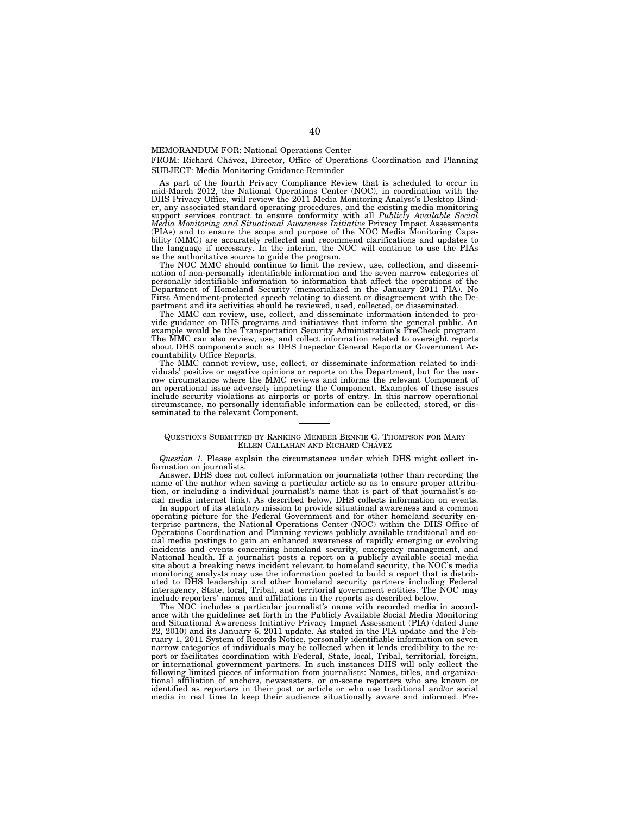#### MEMORANDUM FOR: National Operations Center

FROM: Richard Chávez, Director, Office of Operations Coordination and Planning SUBJECT: Media Monitoring Guidance Reminder

As part of the fourth Privacy Compliance Review that is scheduled to occur in mid-March 2012, the National Operations Center (NOC), in coordination with the DHS Privacy Office, will review the 2011 Media Monitoring Analyst's Desktop Binder, any associated standard operating procedures, and the existing media monitoring support services contract to ensure conformity with all *Publicly Available Social Media Monitoring and Situational Awareness Initiative* Privacy Impact Assessments (PIAs) and to ensure the scope and purpose of the NOC Media Monitoring Capability (MMC) are accurately reflected and recommend clarifications and updates to the language if necessary. In the interim, the NOC will continue to use the PIAs as the authoritative source to guide the program.

The NOC MMC should continue to limit the review, use, collection, and dissemination of non-personally identifiable information and the seven narrow categories of personally identifiable information to information that affect the operations of the Department of Homeland Security (memorialized in the January 2011 PIA). No First Amendment-protected speech relating to dissent or disagreement with the Department and its activities should be reviewed, used, collected, or disseminated.

The MMC can review, use, collect, and disseminate information intended to provide guidance on DHS programs and initiatives that inform the general public. An example would be the Transportation Security Administration's PreCheck program. The MMC can also review, use, and collect information related to oversight reports about DHS components such as DHS Inspector General Reports or Government Accountability Office Reports.

The MMC cannot review, use, collect, or disseminate information related to individuals' positive or negative opinions or reports on the Department, but for the narrow circumstance where the MMC reviews and informs the relevant Component of an operational issue adversely impacting the Component. Examples of these issues include security violations at airports or ports of entry. In this narrow operational circumstance, no personally identifiable information can be collected, stored, or disseminated to the relevant Component.

#### QUESTIONS SUBMITTED BY RANKING MEMBER BENNIE G. THOMPSON FOR MARY ELLEN CALLAHAN AND RICHARD CHÁVEZ

*Question 1.* Please explain the circumstances under which DHS might collect information on journalists.

Answer. DHS does not collect information on journalists (other than recording the name of the author when saving a particular article so as to ensure proper attribution, or including a individual journalist's name that is part of that journalist's social media internet link). As described below, DHS collects information on events.

In support of its statutory mission to provide situational awareness and a common operating picture for the Federal Government and for other homeland security enterprise partners, the National Operations Center (NOC) within the DHS Office of Operations Coordination and Planning reviews publicly available traditional and social media postings to gain an enhanced awareness of rapidly emerging or evolving incidents and events concerning homeland security, emergency management, and National health. If a journalist posts a report on a publicly available social media site about a breaking news incident relevant to homeland security, the NOC's media monitoring analysts may use the information posted to build a report that is distributed to DHS leadership and other homeland security partners including Federal interagency, State, local, Tribal, and territorial government entities. The NOC may include reporters' names and affiliations in the reports as described below.

The NOC includes a particular journalist's name with recorded media in accordance with the guidelines set forth in the Publicly Available Social Media Monitoring and Situational Awareness Initiative Privacy Impact Assessment (PIA) (dated June 22, 2010) and its January 6, 2011 update. As stated in the PIA update and the February 1, 2011 System of Records Notice, personally identifiable information on seven narrow categories of individuals may be collected when it lends credibility to the report or facilitates coordination with Federal, State, local, Tribal, territorial, foreign, or international government partners. In such instances DHS will only collect the following limited pieces of information from journalists: Names, titles, and organizational affiliation of anchors, newscasters, or on-scene reporters who are known or identified as reporters in their post or article or who use traditional and/or social media in real time to keep their audience situationally aware and informed. Fre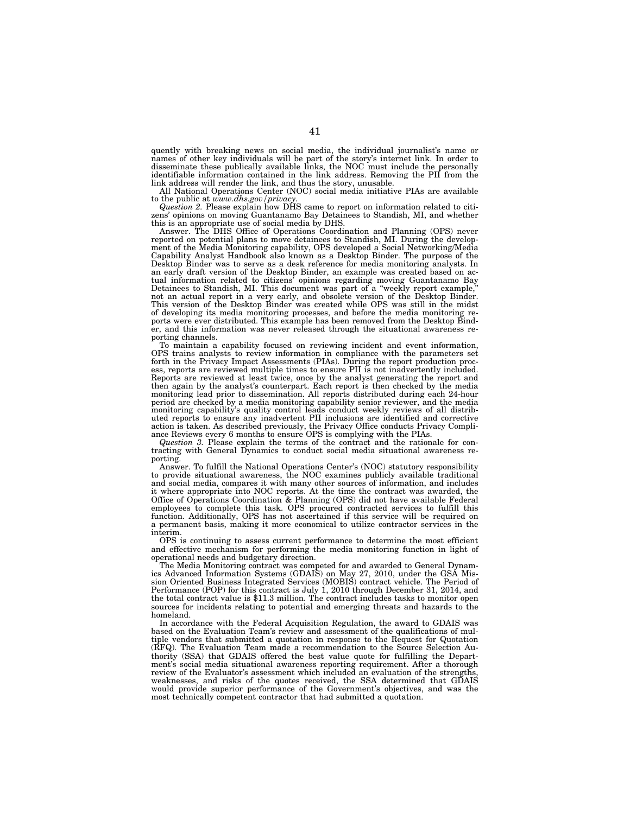quently with breaking news on social media, the individual journalist's name or<br>names of other key individuals will be part of the story's internet link. In order to<br>disseminate these publically available links, the NOC mu identifiable information contained in the link address. Removing the PII from the link address will render the link, and thus the story, unusable.

All National Operations Center (NOC) social media initiative PIAs are available to the public at *www.dhs.gov/privacy.* 

*Question 2.* Please explain how DHS came to report on information related to citizens' opinions on moving Guantanamo Bay Detainees to Standish, MI, and whether this is an appropriate use of social media by DHS.

Answer. The DHS Office of Operations Coordination and Planning (OPS) never reported on potential plans to move detainees to Standish, MI. During the develop-ment of the Media Monitoring capability, OPS developed a Social Networking/Media Capability Analyst Handbook also known as a Desktop Binder. The purpose of the Desktop Binder was to serve as a desk reference for media monitoring analysts. In an early draft version of the Desktop Binder, an example was created based on ac-tual information related to citizens' opinions regarding moving Guantanamo Bay Detainees to Standish, MI. This document was part of a ''weekly report example,'' not an actual report in a very early, and obsolete version of the Desktop Binder. This version of the Desktop Binder was created while OPS was still in the midst of developing its media monitoring processes, and before the media monitoring reports were ever distributed. This example has been removed from the Desktop Bind-er, and this information was never released through the situational awareness reporting channels.

To maintain a capability focused on reviewing incident and event information, OPS trains analysts to review information in compliance with the parameters set forth in the Privacy Impact Assessments (PIAs). During the report production process, reports are reviewed multiple times to ensure PII is not inadvertently included. Reports are reviewed at least twice, once by the analyst generating the report and<br>then again by the analyst's counterpart. Each report is then checked by the media<br>monitoring lead prior to dissemination. All reports distr period are checked by a media monitoring capability senior reviewer, and the media monitoring capability's quality control leads conduct weekly reviews of all distributed reports to ensure any inadvertent PII inclusions are identified and corrective<br>action is taken. As described previously, the Privacy Office conducts Privacy Compli-<br>ance Reviews every 6 months to ensure OPS is complyi

*Question 3.* Please explain the terms of the contract and the rationale for contracting with General Dynamics to conduct social media situational awareness reporting.

Answer. To fulfill the National Operations Center's (NOC) statutory responsibility to provide situational awareness, the NOC examines publicly available traditional and social media, compares it with many other sources of information, and includes it where appropriate into NOC reports. At the time the contract was awarded, the Office of Operations Coordination & Planning (OPS) did not have available Federal employees to complete this task. OPS procured contracted services to fulfill this function. Additionally, OPS has not ascertained if this service will be required on a permanent basis, making it more economical to utilize contractor services in the interim.

OPS is continuing to assess current performance to determine the most efficient and effective mechanism for performing the media monitoring function in light of operational needs and budgetary direction.

The Media Monitoring contract was competed for and awarded to General Dynamics Advanced Information Systems (GDAIS) on May 27, 2010, under the GSA Mission Oriented Business Integrated Services (MOBIS) contract vehicle. The Period of Performance (POP) for this contract is July 1, 2010 through December 31, 2014, and the total contract value is \$11.3 million. The contract includes tasks to monitor open sources for incidents relating to potential and emerging threats and hazards to the homeland.

In accordance with the Federal Acquisition Regulation, the award to GDAIS was based on the Evaluation Team's review and assessment of the qualifications of multiple vendors that submitted a quotation in response to the Request for Quotation (RFQ). The Evaluation Team made a recommendation to the Source Selection Authority (SSA) that GDAIS offered the best value quote for fulfilling the Department's social media situational awareness reporting requirement. After a thorough review of the Evaluator's assessment which included an evaluation of the strengths, weaknesses, and risks of the quotes received, the SSA determined that GDAIS would provide superior performance of the Government's objectives, and was the most technically competent contractor that had submitted a quotation.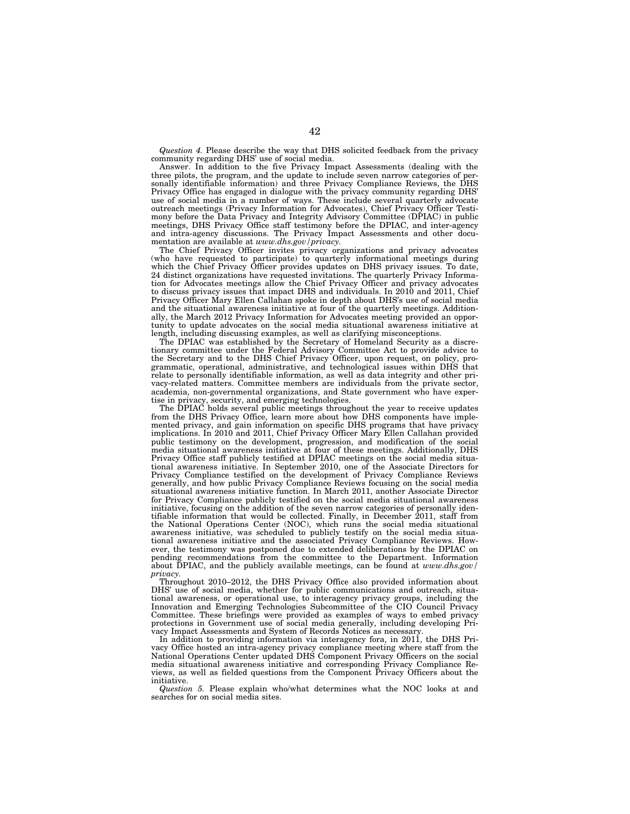*Question 4.* Please describe the way that DHS solicited feedback from the privacy community regarding DHS' use of social media.

Answer. In addition to the five Privacy Impact Assessments (dealing with the three pilots, the program, and the update to include seven narrow categories of personally identifiable information) and three Privacy Compliance Reviews, the DHS Privacy Office has engaged in dialogue with the privacy community regarding DHS' use of social media in a number of ways. These include several quarterly advocate outreach meetings (Privacy Information for Advocates), Chief Privacy Officer Testimony before the Data Privacy and Integrity Advisory Committee (DPIAC) in public meetings, DHS Privacy Office staff testimony before the DPIAC, and inter-agency and intra-agency discussions. The Privacy Impact Assessments and other documentation are available at *www.dhs.gov/privacy.* 

The Chief Privacy Officer invites privacy organizations and privacy advocates (who have requested to participate) to quarterly informational meetings during which the Chief Privacy Officer provides updates on DHS privacy issues. To date, 24 distinct organizations have requested invitations. The quarterly Privacy Information for Advocates meetings allow the Chief Privacy Officer and privacy advocates to discuss privacy issues that impact DHS and individuals. In 2010 and 2011, Chief Privacy Officer Mary Ellen Callahan spoke in depth about DHS's use of social media and the situational awareness initiative at four of the quarterly meetings. Additionally, the March 2012 Privacy Information for Advocates meeting provided an opportunity to update advocates on the social media situational awareness initiative at length, including discussing examples, as well as clarifying misconceptions.

The DPIAC was established by the Secretary of Homeland Security as a discretionary committee under the Federal Advisory Committee Act to provide advice to the Secretary and to the DHS Chief Privacy Officer, upon request, on policy, programmatic, operational, administrative, and technological issues within DHS that relate to personally identifiable information, as well as data integrity and other privacy-related matters. Committee members are individuals from the private sector, academia, non-governmental organizations, and State government who have expertise in privacy, security, and emerging technologies.

The DPIAC holds several public meetings throughout the year to receive updates from the DHS Privacy Office, learn more about how DHS components have implemented privacy, and gain information on specific DHS programs that have privacy implications. In 2010 and 2011, Chief Privacy Officer Mary Ellen Callahan provided public testimony on the development, progression, and modification of the social media situational awareness initiative at four of these meetings. Additionally, DHS Privacy Office staff publicly testified at DPIAC meetings on the social media situational awareness initiative. In September 2010, one of the Associate Directors for Privacy Compliance testified on the development of Privacy Compliance Reviews generally, and how public Privacy Compliance Reviews focusing on the social media situational awareness initiative function. In March 2011, another Associate Director for Privacy Compliance publicly testified on the social media situational awareness initiative, focusing on the addition of the seven narrow categories of personally identifiable information that would be collected. Finally, in December 2011, staff from the National Operations Center (NOC), which runs the social media situational awareness initiative, was scheduled to publicly testify on the social media situational awareness initiative and the associated Privacy Compliance Reviews. However, the testimony was postponed due to extended deliberations by the DPIAC on pending recommendations from the committee to the Department. Information about DPIAC, and the publicly available meetings, can be found at *www.dhs.gov/ privacy.* 

Throughout 2010–2012, the DHS Privacy Office also provided information about DHS' use of social media, whether for public communications and outreach, situational awareness, or operational use, to interagency privacy groups, including the Innovation and Emerging Technologies Subcommittee of the CIO Council Privacy Committee. These briefings were provided as examples of ways to embed privacy protections in Government use of social media generally, including developing Privacy Impact Assessments and System of Records Notices as necessar

In addition to providing information via interagency fora, in 2011, the DHS Privacy Office hosted an intra-agency privacy compliance meeting where staff from the National Operations Center updated DHS Component Privacy Officers on the social media situational awareness initiative and corresponding Privacy Compliance Reviews, as well as fielded questions from the Component Privacy Officers about the initiative.

*Question 5.* Please explain who/what determines what the NOC looks at and searches for on social media sites.